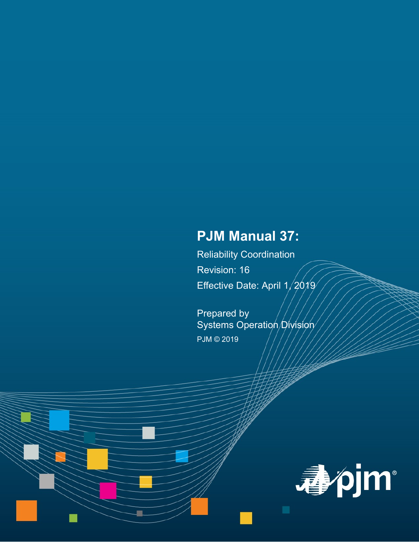# **PJM Manual 37:**

Reliability Coordination Revision: 16 Effective Date: April 1/2019

Prepared by Systems Operation Division PJM © 2019

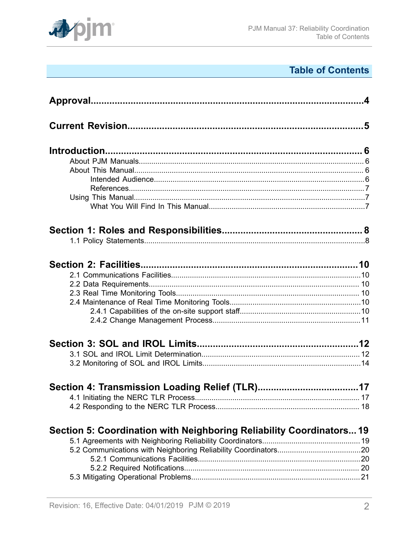

# **Table of Contents**

| Section 5: Coordination with Neighboring Reliability Coordinators 19 |  |
|----------------------------------------------------------------------|--|
|                                                                      |  |
|                                                                      |  |
|                                                                      |  |
|                                                                      |  |
|                                                                      |  |
|                                                                      |  |
|                                                                      |  |
|                                                                      |  |
|                                                                      |  |
|                                                                      |  |
|                                                                      |  |
|                                                                      |  |
|                                                                      |  |
|                                                                      |  |
|                                                                      |  |
|                                                                      |  |
|                                                                      |  |
|                                                                      |  |
|                                                                      |  |
|                                                                      |  |
|                                                                      |  |
|                                                                      |  |
|                                                                      |  |
|                                                                      |  |
|                                                                      |  |
|                                                                      |  |
|                                                                      |  |
|                                                                      |  |
|                                                                      |  |
|                                                                      |  |
|                                                                      |  |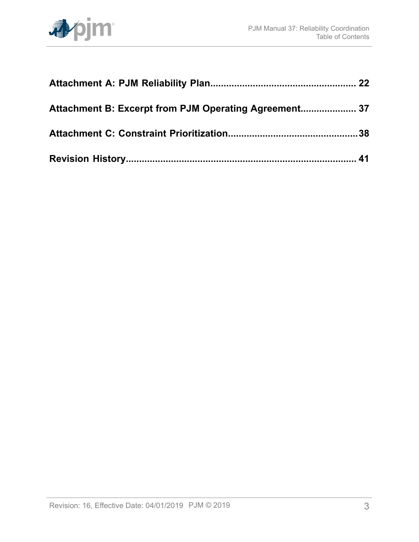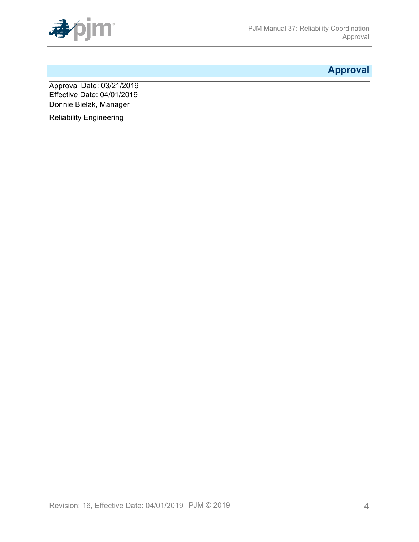

# <span id="page-3-0"></span>**Approval**

Approval Date: 03/21/2019 Effective Date: 04/01/2019 Donnie Bielak, Manager

Reliability Engineering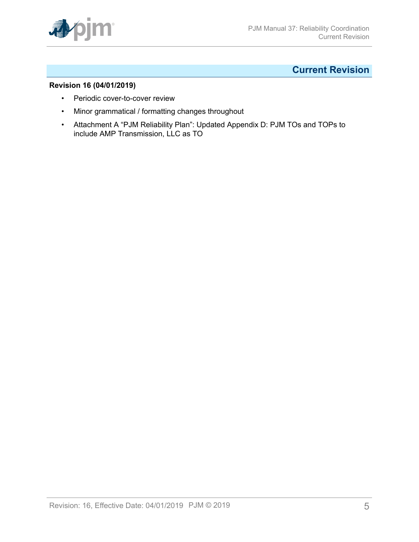

## <span id="page-4-0"></span>**Current Revision**

## **Revision 16 (04/01/2019)**

- Periodic cover-to-cover review
- Minor grammatical / formatting changes throughout
- Attachment A "PJM Reliability Plan": Updated Appendix D: PJM TOs and TOPs to include AMP Transmission, LLC as TO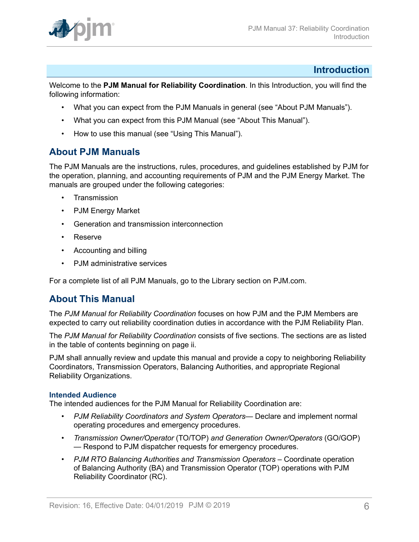

## <span id="page-5-0"></span>**Introduction**

Welcome to the **PJM Manual for Reliability Coordination**. In this Introduction, you will find the following information:

- What you can expect from the PJM Manuals in general (see "About PJM Manuals").
- What you can expect from this PJM Manual (see "About This Manual").
- How to use this manual (see "Using This Manual").

## <span id="page-5-1"></span>**About PJM Manuals**

The PJM Manuals are the instructions, rules, procedures, and guidelines established by PJM for the operation, planning, and accounting requirements of PJM and the PJM Energy Market. The manuals are grouped under the following categories:

- **Transmission**
- PJM Energy Market
- Generation and transmission interconnection
- Reserve
- Accounting and billing
- PJM administrative services

For a complete list of all PJM Manuals, go to the Library section on PJM.com.

## <span id="page-5-2"></span>**About This Manual**

The *PJM Manual for Reliability Coordination* focuses on how PJM and the PJM Members are expected to carry out reliability coordination duties in accordance with the PJM Reliability Plan.

The *PJM Manual for Reliability Coordination* consists of five sections. The sections are as listed in the table of contents beginning on page ii.

PJM shall annually review and update this manual and provide a copy to neighboring Reliability Coordinators, Transmission Operators, Balancing Authorities, and appropriate Regional Reliability Organizations.

## <span id="page-5-3"></span>**Intended Audience**

The intended audiences for the PJM Manual for Reliability Coordination are:

- *PJM Reliability Coordinators and System Operators* Declare and implement normal operating procedures and emergency procedures.
- *Transmission Owner/Operator* (TO/TOP) *and Generation Owner/Operators* (GO/GOP) — Respond to PJM dispatcher requests for emergency procedures.
- *PJM RTO Balancing Authorities and Transmission Operators* Coordinate operation of Balancing Authority (BA) and Transmission Operator (TOP) operations with PJM Reliability Coordinator (RC).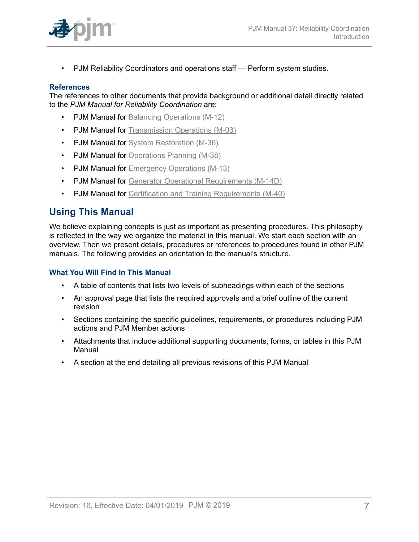

• PJM Reliability Coordinators and operations staff — Perform system studies.

### <span id="page-6-0"></span>**References**

The references to other documents that provide background or additional detail directly related to the *PJM Manual for Reliability Coordination* are:

- **PJM Manual for [Balancing Operations \(M-12\)](http://www.pjm.com/~/media/documents/manuals/m12.ashx)**
- PJM Manual for [Transmission](http://www.pjm.com/~/media/documents/manuals/m03.ashx) Operations (M-03)
- PJM Manual for [System Restoration \(M-36\)](http://www.pjm.com/~/media/documents/manuals/m36.ashx)
- PJM Manual for [Operations Planning \(M-38\)](http://www.pjm.com/~/media/documents/manuals/m38.ashx)
- PJM Manual for [Emergency Operations \(M-13\)](http://www.pjm.com/~/media/documents/manuals/m13.ashx)
- PJM Manual for [Generator Operational Requirements \(M-14D\)](http://www.pjm.com/~/media/documents/manuals/m14d.ashx)
- PJM Manual for Certification and Training [Requirements](http://www.pjm.com/~/media/documents/manuals/m40.ashx) (M-40)

## <span id="page-6-1"></span>**Using This Manual**

We believe explaining concepts is just as important as presenting procedures. This philosophy is reflected in the way we organize the material in this manual. We start each section with an overview. Then we present details, procedures or references to procedures found in other PJM manuals. The following provides an orientation to the manual's structure.

### <span id="page-6-2"></span>**What You Will Find In This Manual**

- A table of contents that lists two levels of subheadings within each of the sections
- An approval page that lists the required approvals and a brief outline of the current revision
- Sections containing the specific guidelines, requirements, or procedures including PJM actions and PJM Member actions
- Attachments that include additional supporting documents, forms, or tables in this PJM Manual
- A section at the end detailing all previous revisions of this PJM Manual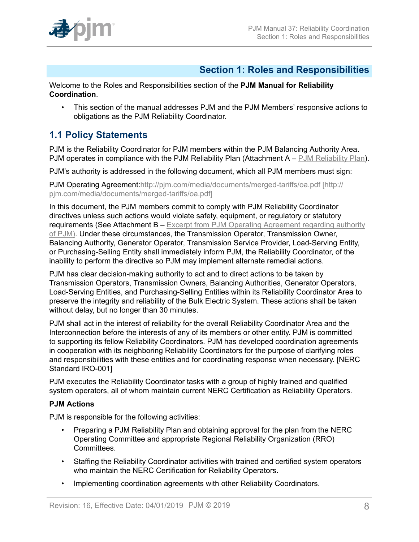

## <span id="page-7-0"></span>**Section 1: Roles and Responsibilities**

Welcome to the Roles and Responsibilities section of the **PJM Manual for Reliability Coordination**.

• This section of the manual addresses PJM and the PJM Members' responsive actions to obligations as the PJM Reliability Coordinator.

## <span id="page-7-1"></span>**1.1 Policy Statements**

PJM is the Reliability Coordinator for PJM members within the PJM Balancing Authority Area. PJM operates in compliance with the PJM Reliability Plan (Attachment A – PJM Reliability Plan).

PJM's authority is addressed in the following document, which all PJM members must sign:

PJM Operating Agreement[:http://pjm.com/media/documents/merged-tariffs/oa.pdf \[http://](http://pjm.com/media/documents/merged-tariffs/oa.pdf) [pjm.com/media/documents/merged-tariffs/oa.pdf\]](http://pjm.com/media/documents/merged-tariffs/oa.pdf)

In this document, the PJM members commit to comply with PJM Reliability Coordinator directives unless such actions would violate safety, equipment, or regulatory or statutory requirements (See Attachment B – Excerpt from PJM Operating Agreement regarding authority of PJM). Under these circumstances, the Transmission Operator, Transmission Owner, Balancing Authority, Generator Operator, Transmission Service Provider, Load-Serving Entity, or Purchasing-Selling Entity shall immediately inform PJM, the Reliability Coordinator, of the inability to perform the directive so PJM may implement alternate remedial actions.

PJM has clear decision-making authority to act and to direct actions to be taken by Transmission Operators, Transmission Owners, Balancing Authorities, Generator Operators, Load-Serving Entities, and Purchasing-Selling Entities within its Reliability Coordinator Area to preserve the integrity and reliability of the Bulk Electric System. These actions shall be taken without delay, but no longer than 30 minutes.

PJM shall act in the interest of reliability for the overall Reliability Coordinator Area and the Interconnection before the interests of any of its members or other entity. PJM is committed to supporting its fellow Reliability Coordinators. PJM has developed coordination agreements in cooperation with its neighboring Reliability Coordinators for the purpose of clarifying roles and responsibilities with these entities and for coordinating response when necessary. [NERC Standard IRO-001]

PJM executes the Reliability Coordinator tasks with a group of highly trained and qualified system operators, all of whom maintain current NERC Certification as Reliability Operators.

## **PJM Actions**

PJM is responsible for the following activities:

- Preparing a PJM Reliability Plan and obtaining approval for the plan from the NERC Operating Committee and appropriate Regional Reliability Organization (RRO) Committees.
- Staffing the Reliability Coordinator activities with trained and certified system operators who maintain the NERC Certification for Reliability Operators.
- Implementing coordination agreements with other Reliability Coordinators.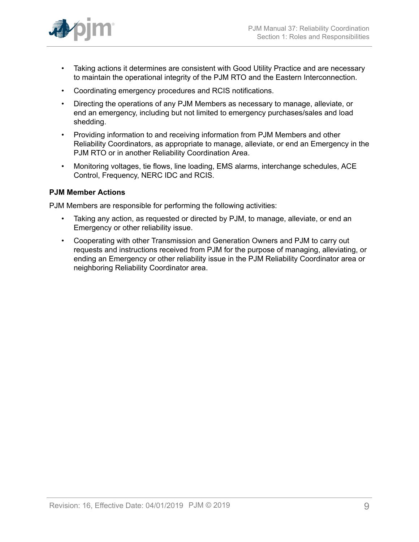

- Taking actions it determines are consistent with Good Utility Practice and are necessary to maintain the operational integrity of the PJM RTO and the Eastern Interconnection.
- Coordinating emergency procedures and RCIS notifications.
- Directing the operations of any PJM Members as necessary to manage, alleviate, or end an emergency, including but not limited to emergency purchases/sales and load shedding.
- Providing information to and receiving information from PJM Members and other Reliability Coordinators, as appropriate to manage, alleviate, or end an Emergency in the PJM RTO or in another Reliability Coordination Area.
- Monitoring voltages, tie flows, line loading, EMS alarms, interchange schedules, ACE Control, Frequency, NERC IDC and RCIS.

## **PJM Member Actions**

PJM Members are responsible for performing the following activities:

- Taking any action, as requested or directed by PJM, to manage, alleviate, or end an Emergency or other reliability issue.
- Cooperating with other Transmission and Generation Owners and PJM to carry out requests and instructions received from PJM for the purpose of managing, alleviating, or ending an Emergency or other reliability issue in the PJM Reliability Coordinator area or neighboring Reliability Coordinator area.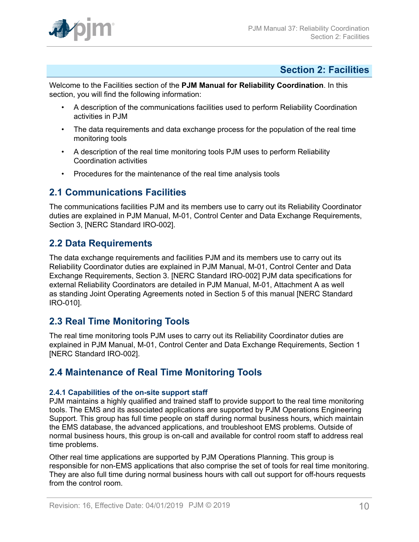

## <span id="page-9-0"></span>**Section 2: Facilities**

Welcome to the Facilities section of the **PJM Manual for Reliability Coordination**. In this section, you will find the following information:

- A description of the communications facilities used to perform Reliability Coordination activities in PJM
- The data requirements and data exchange process for the population of the real time monitoring tools
- A description of the real time monitoring tools PJM uses to perform Reliability Coordination activities
- Procedures for the maintenance of the real time analysis tools

## <span id="page-9-1"></span>**2.1 Communications Facilities**

The communications facilities PJM and its members use to carry out its Reliability Coordinator duties are explained in PJM Manual, M-01, Control Center and Data Exchange Requirements, Section 3, [NERC Standard IRO-002].

## <span id="page-9-2"></span>**2.2 Data Requirements**

The data exchange requirements and facilities PJM and its members use to carry out its Reliability Coordinator duties are explained in PJM Manual, M-01, Control Center and Data Exchange Requirements, Section 3. [NERC Standard IRO-002] PJM data specifications for external Reliability Coordinators are detailed in PJM Manual, M-01, Attachment A as well as standing Joint Operating Agreements noted in Section 5 of this manual [NERC Standard IRO-010].

## <span id="page-9-3"></span>**2.3 Real Time Monitoring Tools**

The real time monitoring tools PJM uses to carry out its Reliability Coordinator duties are explained in PJM Manual, M-01, Control Center and Data Exchange Requirements, Section 1 [NERC Standard IRO-002].

## <span id="page-9-4"></span>**2.4 Maintenance of Real Time Monitoring Tools**

## <span id="page-9-5"></span>**2.4.1 Capabilities of the on-site support staff**

PJM maintains a highly qualified and trained staff to provide support to the real time monitoring tools. The EMS and its associated applications are supported by PJM Operations Engineering Support. This group has full time people on staff during normal business hours, which maintain the EMS database, the advanced applications, and troubleshoot EMS problems. Outside of normal business hours, this group is on-call and available for control room staff to address real time problems.

Other real time applications are supported by PJM Operations Planning. This group is responsible for non-EMS applications that also comprise the set of tools for real time monitoring. They are also full time during normal business hours with call out support for off-hours requests from the control room.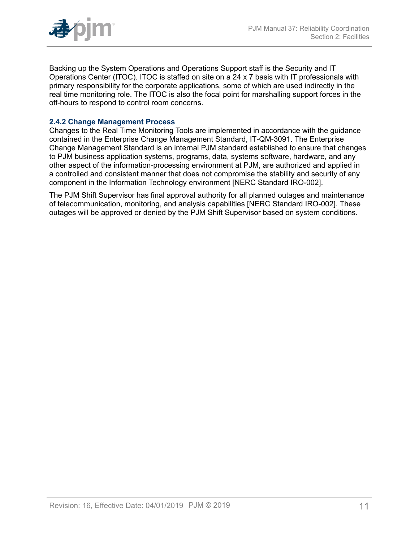

Backing up the System Operations and Operations Support staff is the Security and IT Operations Center (ITOC). ITOC is staffed on site on a 24 x 7 basis with IT professionals with primary responsibility for the corporate applications, some of which are used indirectly in the real time monitoring role. The ITOC is also the focal point for marshalling support forces in the off-hours to respond to control room concerns.

## <span id="page-10-0"></span>**2.4.2 Change Management Process**

Changes to the Real Time Monitoring Tools are implemented in accordance with the guidance contained in the Enterprise Change Management Standard, IT-QM-3091. The Enterprise Change Management Standard is an internal PJM standard established to ensure that changes to PJM business application systems, programs, data, systems software, hardware, and any other aspect of the information-processing environment at PJM, are authorized and applied in a controlled and consistent manner that does not compromise the stability and security of any component in the Information Technology environment [NERC Standard IRO-002].

The PJM Shift Supervisor has final approval authority for all planned outages and maintenance of telecommunication, monitoring, and analysis capabilities [NERC Standard IRO-002]. These outages will be approved or denied by the PJM Shift Supervisor based on system conditions.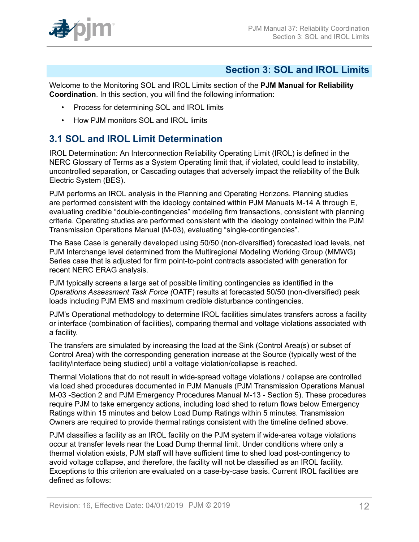

## <span id="page-11-0"></span>**Section 3: SOL and IROL Limits**

Welcome to the Monitoring SOL and IROL Limits section of the **PJM Manual for Reliability Coordination**. In this section, you will find the following information:

- Process for determining SOL and IROL limits
- How PJM monitors SOL and IROL limits

## <span id="page-11-1"></span>**3.1 SOL and IROL Limit Determination**

IROL Determination: An Interconnection Reliability Operating Limit (IROL) is defined in the NERC Glossary of Terms as a System Operating limit that, if violated, could lead to instability, uncontrolled separation, or Cascading outages that adversely impact the reliability of the Bulk Electric System (BES).

PJM performs an IROL analysis in the Planning and Operating Horizons. Planning studies are performed consistent with the ideology contained within PJM Manuals M-14 A through E, evaluating credible "double-contingencies" modeling firm transactions, consistent with planning criteria. Operating studies are performed consistent with the ideology contained within the PJM Transmission Operations Manual (M-03), evaluating "single-contingencies".

The Base Case is generally developed using 50/50 (non-diversified) forecasted load levels, net PJM Interchange level determined from the Multiregional Modeling Working Group (MMWG) Series case that is adjusted for firm point-to-point contracts associated with generation for recent NERC ERAG analysis.

PJM typically screens a large set of possible limiting contingencies as identified in the *Operations Assessment Task Force (*OATF) results at forecasted 50/50 (non-diversified) peak loads including PJM EMS and maximum credible disturbance contingencies.

PJM's Operational methodology to determine IROL facilities simulates transfers across a facility or interface (combination of facilities), comparing thermal and voltage violations associated with a facility.

The transfers are simulated by increasing the load at the Sink (Control Area(s) or subset of Control Area) with the corresponding generation increase at the Source (typically west of the facility/interface being studied) until a voltage violation/collapse is reached.

Thermal Violations that do not result in wide-spread voltage violations / collapse are controlled via load shed procedures documented in PJM Manuals (PJM Transmission Operations Manual M-03 -Section 2 and PJM Emergency Procedures Manual M-13 - Section 5). These procedures require PJM to take emergency actions, including load shed to return flows below Emergency Ratings within 15 minutes and below Load Dump Ratings within 5 minutes. Transmission Owners are required to provide thermal ratings consistent with the timeline defined above.

PJM classifies a facility as an IROL facility on the PJM system if wide-area voltage violations occur at transfer levels near the Load Dump thermal limit. Under conditions where only a thermal violation exists, PJM staff will have sufficient time to shed load post-contingency to avoid voltage collapse, and therefore, the facility will not be classified as an IROL facility. Exceptions to this criterion are evaluated on a case-by-case basis. Current IROL facilities are defined as follows: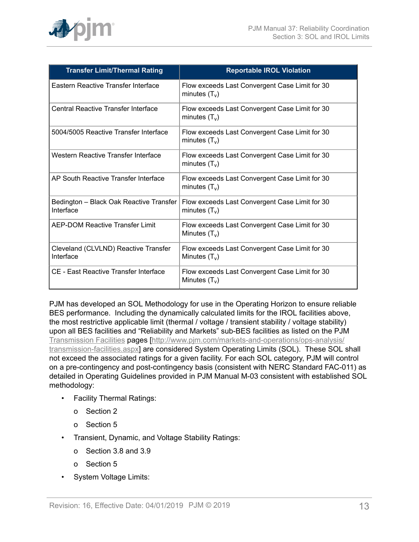

| <b>Transfer Limit/Thermal Rating</b>                 | <b>Reportable IROL Violation</b>                                  |
|------------------------------------------------------|-------------------------------------------------------------------|
| Eastern Reactive Transfer Interface                  | Flow exceeds Last Convergent Case Limit for 30<br>minutes $(T_v)$ |
| Central Reactive Transfer Interface                  | Flow exceeds Last Convergent Case Limit for 30<br>minutes $(T_v)$ |
| 5004/5005 Reactive Transfer Interface                | Flow exceeds Last Convergent Case Limit for 30<br>minutes $(T_v)$ |
| Western Reactive Transfer Interface                  | Flow exceeds Last Convergent Case Limit for 30<br>minutes $(T_v)$ |
| AP South Reactive Transfer Interface                 | Flow exceeds Last Convergent Case Limit for 30<br>minutes $(T_v)$ |
| Bedington - Black Oak Reactive Transfer<br>Interface | Flow exceeds Last Convergent Case Limit for 30<br>minutes $(T_v)$ |
| AEP-DOM Reactive Transfer Limit                      | Flow exceeds Last Convergent Case Limit for 30<br>Minutes $(T_v)$ |
| Cleveland (CLVLND) Reactive Transfer<br>Interface    | Flow exceeds Last Convergent Case Limit for 30<br>Minutes $(T_v)$ |
| <b>CE - East Reactive Transfer Interface</b>         | Flow exceeds Last Convergent Case Limit for 30<br>Minutes $(T_v)$ |

PJM has developed an SOL Methodology for use in the Operating Horizon to ensure reliable BES performance. Including the dynamically calculated limits for the IROL facilities above, the most restrictive applicable limit (thermal / voltage / transient stability / voltage stability) upon all BES facilities and "Reliability and Markets" sub-BES facilities as listed on the PJM [Transmission](http://www.pjm.com/markets-and-operations/transmission-service/transmission-facilities.aspx) Facilities pages [[http://www.pjm.com/markets-and-operations/ops-analysis/](http://www.pjm.com/markets-and-operations/ops-analysis/transmission-facilities.aspx) [transmission-facilities.aspx\]](http://www.pjm.com/markets-and-operations/ops-analysis/transmission-facilities.aspx) are considered System Operating Limits (SOL). These SOL shall not exceed the associated ratings for a given facility. For each SOL category, PJM will control on a pre-contingency and post-contingency basis (consistent with NERC Standard FAC-011) as detailed in Operating Guidelines provided in PJM Manual M-03 consistent with established SOL methodology:

- Facility Thermal Ratings:
	- o Section 2
	- o Section 5
- Transient, Dynamic, and Voltage Stability Ratings:
	- o Section 3.8 and 3.9
	- o Section 5
- System Voltage Limits: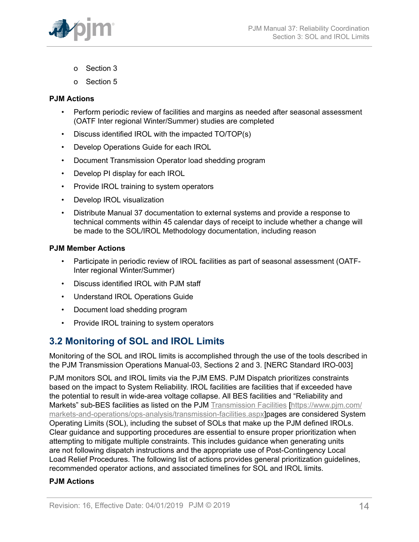

- o Section 3
- o Section 5

### **PJM Actions**

- Perform periodic review of facilities and margins as needed after seasonal assessment (OATF Inter regional Winter/Summer) studies are completed
- Discuss identified IROL with the impacted TO/TOP(s)
- Develop Operations Guide for each IROL
- Document Transmission Operator load shedding program
- Develop PI display for each IROL
- Provide IROL training to system operators
- Develop IROL visualization
- Distribute Manual 37 documentation to external systems and provide a response to technical comments within 45 calendar days of receipt to include whether a change will be made to the SOL/IROL Methodology documentation, including reason

### **PJM Member Actions**

- Participate in periodic review of IROL facilities as part of seasonal assessment (OATF-Inter regional Winter/Summer)
- Discuss identified IROL with PJM staff
- Understand IROL Operations Guide
- Document load shedding program
- Provide IROL training to system operators

## <span id="page-13-0"></span>**3.2 Monitoring of SOL and IROL Limits**

Monitoring of the SOL and IROL limits is accomplished through the use of the tools described in the PJM Transmission Operations Manual-03, Sections 2 and 3. [NERC Standard IRO-003]

PJM monitors SOL and IROL limits via the PJM EMS. PJM Dispatch prioritizes constraints based on the impact to System Reliability. IROL facilities are facilities that if exceeded have the potential to result in wide-area voltage collapse. All BES facilities and "Reliability and Markets" sub-BES facilities as listed on the PJM [Transmission](http://www.pjm.com/markets-and-operations/ops-analysis/transmission-facilities.aspx) Facilities [\[https://www.pjm.com/](https://www.pjm.com/markets-and-operations/ops-analysis/transmission-facilities.aspx) [markets-and-operations/ops-analysis/transmission-facilities.aspx](https://www.pjm.com/markets-and-operations/ops-analysis/transmission-facilities.aspx)]pages are considered System Operating Limits (SOL), including the subset of SOLs that make up the PJM defined IROLs. Clear guidance and supporting procedures are essential to ensure proper prioritization when attempting to mitigate multiple constraints. This includes guidance when generating units are not following dispatch instructions and the appropriate use of Post-Contingency Local Load Relief Procedures. The following list of actions provides general prioritization guidelines, recommended operator actions, and associated timelines for SOL and IROL limits.

## **PJM Actions**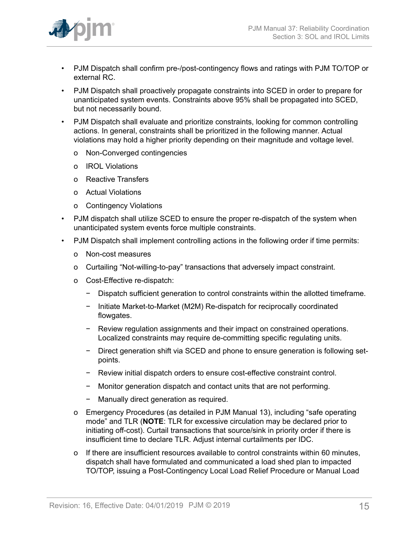

- PJM Dispatch shall confirm pre-/post-contingency flows and ratings with PJM TO/TOP or external RC.
- PJM Dispatch shall proactively propagate constraints into SCED in order to prepare for unanticipated system events. Constraints above 95% shall be propagated into SCED, but not necessarily bound.
- PJM Dispatch shall evaluate and prioritize constraints, looking for common controlling actions. In general, constraints shall be prioritized in the following manner. Actual violations may hold a higher priority depending on their magnitude and voltage level.
	- o Non-Converged contingencies
	- o IROL Violations
	- o Reactive Transfers
	- o Actual Violations
	- o Contingency Violations
- PJM dispatch shall utilize SCED to ensure the proper re-dispatch of the system when unanticipated system events force multiple constraints.
- PJM Dispatch shall implement controlling actions in the following order if time permits:
	- o Non-cost measures
	- o Curtailing "Not-willing-to-pay" transactions that adversely impact constraint.
	- o Cost-Effective re-dispatch:
		- − Dispatch sufficient generation to control constraints within the allotted timeframe.
		- − Initiate Market-to-Market (M2M) Re-dispatch for reciprocally coordinated flowgates.
		- − Review regulation assignments and their impact on constrained operations. Localized constraints may require de-committing specific regulating units.
		- − Direct generation shift via SCED and phone to ensure generation is following setpoints.
		- − Review initial dispatch orders to ensure cost-effective constraint control.
		- − Monitor generation dispatch and contact units that are not performing.
		- − Manually direct generation as required.
	- o Emergency Procedures (as detailed in PJM Manual 13), including "safe operating mode" and TLR (**NOTE**: TLR for excessive circulation may be declared prior to initiating off-cost). Curtail transactions that source/sink in priority order if there is insufficient time to declare TLR. Adjust internal curtailments per IDC.
	- o If there are insufficient resources available to control constraints within 60 minutes, dispatch shall have formulated and communicated a load shed plan to impacted TO/TOP, issuing a Post-Contingency Local Load Relief Procedure or Manual Load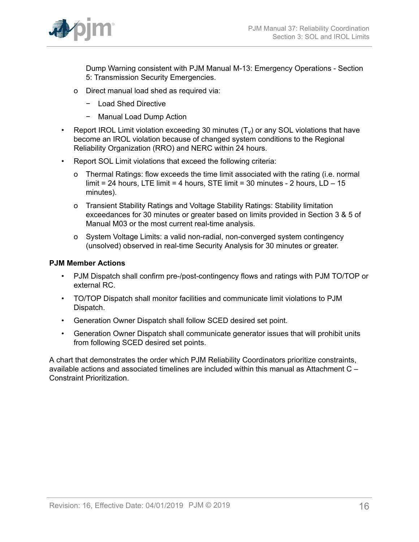

Dump Warning consistent with PJM Manual M-13: Emergency Operations - Section 5: Transmission Security Emergencies.

- o Direct manual load shed as required via:
	- − Load Shed Directive
	- − Manual Load Dump Action
- Report IROL Limit violation exceeding 30 minutes  $(T_v)$  or any SOL violations that have become an IROL violation because of changed system conditions to the Regional Reliability Organization (RRO) and NERC within 24 hours.
- Report SOL Limit violations that exceed the following criteria:
	- o Thermal Ratings: flow exceeds the time limit associated with the rating (i.e. normal limit = 24 hours, LTE limit = 4 hours, STE limit = 30 minutes - 2 hours,  $LD - 15$ minutes).
	- o Transient Stability Ratings and Voltage Stability Ratings: Stability limitation exceedances for 30 minutes or greater based on limits provided in Section 3 & 5 of Manual M03 or the most current real-time analysis.
	- o System Voltage Limits: a valid non-radial, non-converged system contingency (unsolved) observed in real-time Security Analysis for 30 minutes or greater.

## **PJM Member Actions**

- PJM Dispatch shall confirm pre-/post-contingency flows and ratings with PJM TO/TOP or external RC.
- TO/TOP Dispatch shall monitor facilities and communicate limit violations to PJM Dispatch.
- Generation Owner Dispatch shall follow SCED desired set point.
- Generation Owner Dispatch shall communicate generator issues that will prohibit units from following SCED desired set points.

A chart that demonstrates the order which PJM Reliability Coordinators prioritize constraints, available actions and associated timelines are included within this manual as Attachment C – Constraint Prioritization.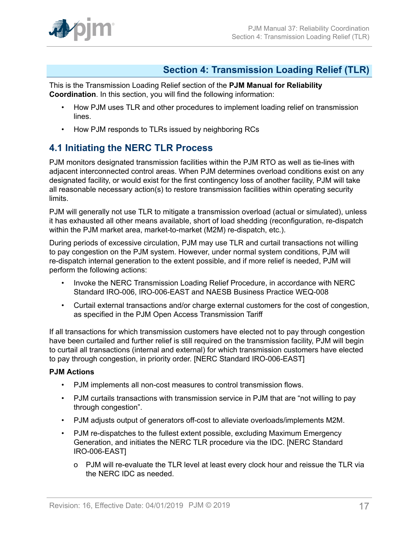

## <span id="page-16-0"></span>**Section 4: Transmission Loading Relief (TLR)**

This is the Transmission Loading Relief section of the **PJM Manual for Reliability Coordination**. In this section, you will find the following information:

- How PJM uses TLR and other procedures to implement loading relief on transmission lines.
- How PJM responds to TLRs issued by neighboring RCs

## <span id="page-16-1"></span>**4.1 Initiating the NERC TLR Process**

PJM monitors designated transmission facilities within the PJM RTO as well as tie-lines with adjacent interconnected control areas. When PJM determines overload conditions exist on any designated facility, or would exist for the first contingency loss of another facility, PJM will take all reasonable necessary action(s) to restore transmission facilities within operating security limits.

PJM will generally not use TLR to mitigate a transmission overload (actual or simulated), unless it has exhausted all other means available, short of load shedding (reconfiguration, re-dispatch within the PJM market area, market-to-market (M2M) re-dispatch, etc.).

During periods of excessive circulation, PJM may use TLR and curtail transactions not willing to pay congestion on the PJM system. However, under normal system conditions, PJM will re-dispatch internal generation to the extent possible, and if more relief is needed, PJM will perform the following actions:

- Invoke the NERC Transmission Loading Relief Procedure, in accordance with NERC Standard IRO-006, IRO-006-EAST and NAESB Business Practice WEQ-008
- Curtail external transactions and/or charge external customers for the cost of congestion, as specified in the PJM Open Access Transmission Tariff

If all transactions for which transmission customers have elected not to pay through congestion have been curtailed and further relief is still required on the transmission facility, PJM will begin to curtail all transactions (internal and external) for which transmission customers have elected to pay through congestion, in priority order. [NERC Standard IRO-006-EAST]

## **PJM Actions**

- PJM implements all non-cost measures to control transmission flows.
- PJM curtails transactions with transmission service in PJM that are "not willing to pay through congestion".
- PJM adjusts output of generators off-cost to alleviate overloads/implements M2M.
- PJM re-dispatches to the fullest extent possible, excluding Maximum Emergency Generation, and initiates the NERC TLR procedure via the IDC. [NERC Standard IRO-006-EAST]
	- o PJM will re-evaluate the TLR level at least every clock hour and reissue the TLR via the NERC IDC as needed.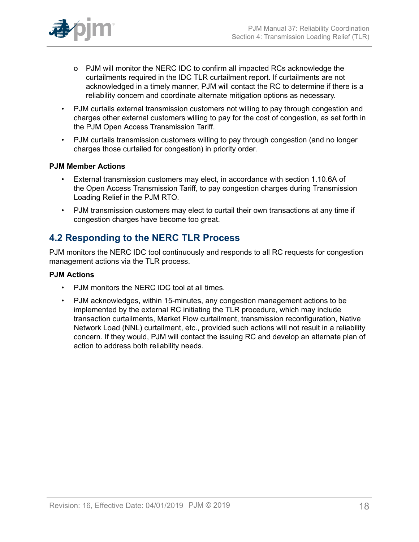

- o PJM will monitor the NERC IDC to confirm all impacted RCs acknowledge the curtailments required in the IDC TLR curtailment report. If curtailments are not acknowledged in a timely manner, PJM will contact the RC to determine if there is a reliability concern and coordinate alternate mitigation options as necessary.
- PJM curtails external transmission customers not willing to pay through congestion and charges other external customers willing to pay for the cost of congestion, as set forth in the PJM Open Access Transmission Tariff.
- PJM curtails transmission customers willing to pay through congestion (and no longer charges those curtailed for congestion) in priority order.

## **PJM Member Actions**

- External transmission customers may elect, in accordance with section 1.10.6A of the Open Access Transmission Tariff, to pay congestion charges during Transmission Loading Relief in the PJM RTO.
- PJM transmission customers may elect to curtail their own transactions at any time if congestion charges have become too great.

## <span id="page-17-0"></span>**4.2 Responding to the NERC TLR Process**

PJM monitors the NERC IDC tool continuously and responds to all RC requests for congestion management actions via the TLR process.

## **PJM Actions**

- PJM monitors the NERC IDC tool at all times.
- PJM acknowledges, within 15-minutes, any congestion management actions to be implemented by the external RC initiating the TLR procedure, which may include transaction curtailments, Market Flow curtailment, transmission reconfiguration, Native Network Load (NNL) curtailment, etc., provided such actions will not result in a reliability concern. If they would, PJM will contact the issuing RC and develop an alternate plan of action to address both reliability needs.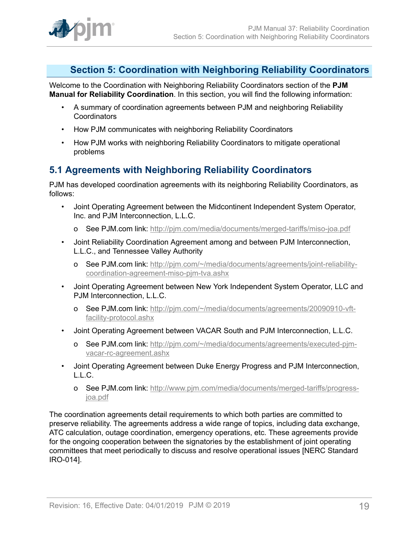

## <span id="page-18-0"></span>**Section 5: Coordination with Neighboring Reliability Coordinators**

Welcome to the Coordination with Neighboring Reliability Coordinators section of the **PJM Manual for Reliability Coordination**. In this section, you will find the following information:

- A summary of coordination agreements between PJM and neighboring Reliability **Coordinators**
- How PJM communicates with neighboring Reliability Coordinators
- How PJM works with neighboring Reliability Coordinators to mitigate operational problems

## <span id="page-18-1"></span>**5.1 Agreements with Neighboring Reliability Coordinators**

PJM has developed coordination agreements with its neighboring Reliability Coordinators, as follows:

- Joint Operating Agreement between the Midcontinent Independent System Operator, Inc. and PJM Interconnection, L.L.C.
	- o See PJM.com link: <http://pjm.com/media/documents/merged-tariffs/miso-joa.pdf>
- Joint Reliability Coordination Agreement among and between PJM Interconnection, L.L.C., and Tennessee Valley Authority
	- o See PJM.com link: [http://pjm.com/~/media/documents/agreements/joint-reliability](http://pjm.com/~/media/documents/agreements/joint-reliability-coordination-agreement-miso-pjm-tva.ashx)[coordination-agreement-miso-pjm-tva.ashx](http://pjm.com/~/media/documents/agreements/joint-reliability-coordination-agreement-miso-pjm-tva.ashx)
- Joint Operating Agreement between New York Independent System Operator, LLC and PJM Interconnection, L.L.C.
	- o See PJM.com link: [http://pjm.com/~/media/documents/agreements/20090910-vft](http://pjm.com/~/media/documents/agreements/20090910-vft-facility-protocol.ashx)[facility-protocol.ashx](http://pjm.com/~/media/documents/agreements/20090910-vft-facility-protocol.ashx)
- Joint Operating Agreement between VACAR South and PJM Interconnection, L.L.C.
	- o See PJM.com link: [http://pjm.com/~/media/documents/agreements/executed-pjm](http://pjm.com/~/media/documents/agreements/executed-pjm-vacar-rc-agreement.ashx)[vacar-rc-agreement.ashx](http://pjm.com/~/media/documents/agreements/executed-pjm-vacar-rc-agreement.ashx)
- Joint Operating Agreement between Duke Energy Progress and PJM Interconnection, L.L.C.
	- o See PJM.com link: [http://www.pjm.com/media/documents/merged-tariffs/progress](http://www.pjm.com/media/documents/merged-tariffs/progress-joa.pdf)[joa.pdf](http://www.pjm.com/media/documents/merged-tariffs/progress-joa.pdf)

The coordination agreements detail requirements to which both parties are committed to preserve reliability. The agreements address a wide range of topics, including data exchange, ATC calculation, outage coordination, emergency operations, etc. These agreements provide for the ongoing cooperation between the signatories by the establishment of joint operating committees that meet periodically to discuss and resolve operational issues [NERC Standard IRO-014].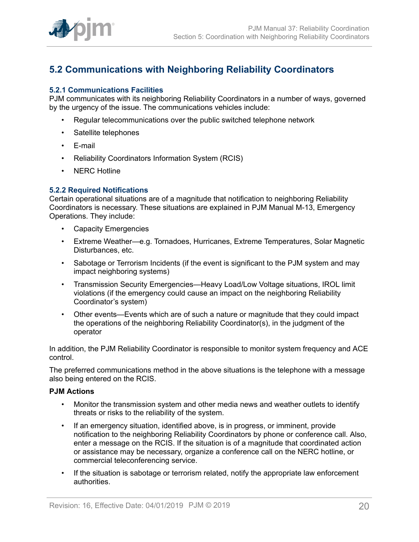

## <span id="page-19-0"></span>**5.2 Communications with Neighboring Reliability Coordinators**

### <span id="page-19-1"></span>**5.2.1 Communications Facilities**

PJM communicates with its neighboring Reliability Coordinators in a number of ways, governed by the urgency of the issue. The communications vehicles include:

- Regular telecommunications over the public switched telephone network
- Satellite telephones
- E-mail
- Reliability Coordinators Information System (RCIS)
- NERC Hotline

#### <span id="page-19-2"></span>**5.2.2 Required Notifications**

Certain operational situations are of a magnitude that notification to neighboring Reliability Coordinators is necessary. These situations are explained in PJM Manual M-13, Emergency Operations. They include:

- Capacity Emergencies
- Extreme Weather—e.g. Tornadoes, Hurricanes, Extreme Temperatures, Solar Magnetic Disturbances, etc.
- Sabotage or Terrorism Incidents (if the event is significant to the PJM system and may impact neighboring systems)
- Transmission Security Emergencies—Heavy Load/Low Voltage situations, IROL limit violations (if the emergency could cause an impact on the neighboring Reliability Coordinator's system)
- Other events—Events which are of such a nature or magnitude that they could impact the operations of the neighboring Reliability Coordinator(s), in the judgment of the operator

In addition, the PJM Reliability Coordinator is responsible to monitor system frequency and ACE control.

The preferred communications method in the above situations is the telephone with a message also being entered on the RCIS.

#### **PJM Actions**

- Monitor the transmission system and other media news and weather outlets to identify threats or risks to the reliability of the system.
- If an emergency situation, identified above, is in progress, or imminent, provide notification to the neighboring Reliability Coordinators by phone or conference call. Also, enter a message on the RCIS. If the situation is of a magnitude that coordinated action or assistance may be necessary, organize a conference call on the NERC hotline, or commercial teleconferencing service.
- If the situation is sabotage or terrorism related, notify the appropriate law enforcement authorities.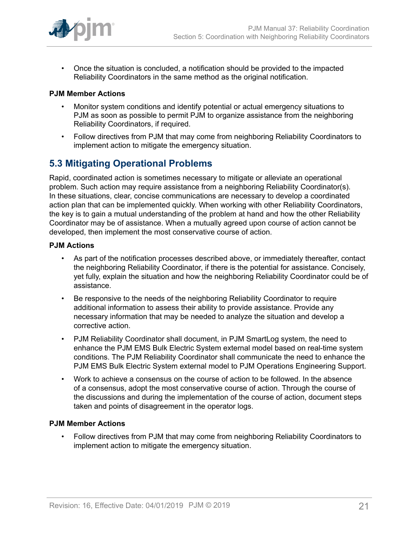

• Once the situation is concluded, a notification should be provided to the impacted Reliability Coordinators in the same method as the original notification.

### **PJM Member Actions**

- Monitor system conditions and identify potential or actual emergency situations to PJM as soon as possible to permit PJM to organize assistance from the neighboring Reliability Coordinators, if required.
- Follow directives from PJM that may come from neighboring Reliability Coordinators to implement action to mitigate the emergency situation.

## <span id="page-20-0"></span>**5.3 Mitigating Operational Problems**

Rapid, coordinated action is sometimes necessary to mitigate or alleviate an operational problem. Such action may require assistance from a neighboring Reliability Coordinator(s). In these situations, clear, concise communications are necessary to develop a coordinated action plan that can be implemented quickly. When working with other Reliability Coordinators, the key is to gain a mutual understanding of the problem at hand and how the other Reliability Coordinator may be of assistance. When a mutually agreed upon course of action cannot be developed, then implement the most conservative course of action.

### **PJM Actions**

- As part of the notification processes described above, or immediately thereafter, contact the neighboring Reliability Coordinator, if there is the potential for assistance. Concisely, yet fully, explain the situation and how the neighboring Reliability Coordinator could be of assistance.
- Be responsive to the needs of the neighboring Reliability Coordinator to require additional information to assess their ability to provide assistance. Provide any necessary information that may be needed to analyze the situation and develop a corrective action.
- PJM Reliability Coordinator shall document, in PJM SmartLog system, the need to enhance the PJM EMS Bulk Electric System external model based on real-time system conditions. The PJM Reliability Coordinator shall communicate the need to enhance the PJM EMS Bulk Electric System external model to PJM Operations Engineering Support.
- Work to achieve a consensus on the course of action to be followed. In the absence of a consensus, adopt the most conservative course of action. Through the course of the discussions and during the implementation of the course of action, document steps taken and points of disagreement in the operator logs.

## **PJM Member Actions**

• Follow directives from PJM that may come from neighboring Reliability Coordinators to implement action to mitigate the emergency situation.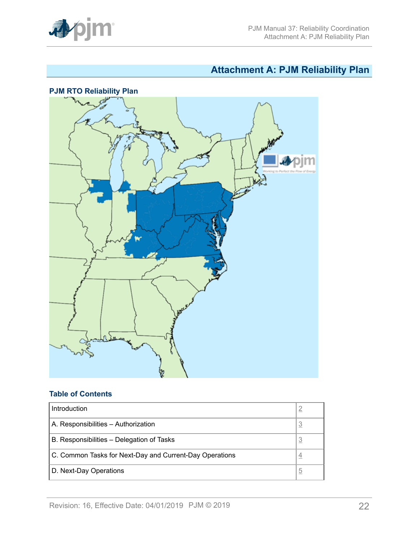

# <span id="page-21-0"></span>**Attachment A: PJM Reliability Plan**



## **Table of Contents**

| Introduction                                            |                |
|---------------------------------------------------------|----------------|
| A. Responsibilities - Authorization                     | $\overline{3}$ |
| B. Responsibilities – Delegation of Tasks               | 3              |
| C. Common Tasks for Next-Day and Current-Day Operations | 4              |
| D. Next-Day Operations                                  | b              |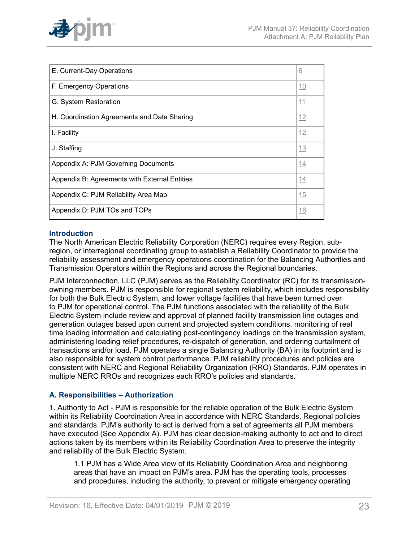

| E. Current-Day Operations                     | 6  |
|-----------------------------------------------|----|
| F. Emergency Operations                       | 10 |
| G. System Restoration                         | 11 |
| H. Coordination Agreements and Data Sharing   | 12 |
| I. Facility                                   | 12 |
| J. Staffing                                   | 13 |
| Appendix A: PJM Governing Documents           | 14 |
| Appendix B: Agreements with External Entities |    |
| Appendix C: PJM Reliability Area Map          | 15 |
| Appendix D: PJM TOs and TOPs                  | 16 |

## <span id="page-22-0"></span>**Introduction**

The North American Electric Reliability Corporation (NERC) requires every Region, subregion, or interregional coordinating group to establish a Reliability Coordinator to provide the reliability assessment and emergency operations coordination for the Balancing Authorities and Transmission Operators within the Regions and across the Regional boundaries.

PJM Interconnection, LLC (PJM) serves as the Reliability Coordinator (RC) for its transmissionowning members. PJM is responsible for regional system reliability, which includes responsibility for both the Bulk Electric System, and lower voltage facilities that have been turned over to PJM for operational control. The PJM functions associated with the reliability of the Bulk Electric System include review and approval of planned facility transmission line outages and generation outages based upon current and projected system conditions, monitoring of real time loading information and calculating post-contingency loadings on the transmission system, administering loading relief procedures, re-dispatch of generation, and ordering curtailment of transactions and/or load. PJM operates a single Balancing Authority (BA) in its footprint and is also responsible for system control performance. PJM reliability procedures and policies are consistent with NERC and Regional Reliability Organization (RRO) Standards. PJM operates in multiple NERC RROs and recognizes each RRO's policies and standards.

## <span id="page-22-1"></span>**A. Responsibilities – Authorization**

1. Authority to Act - PJM is responsible for the reliable operation of the Bulk Electric System within its Reliability Coordination Area in accordance with NERC Standards, Regional policies and standards. PJM's authority to act is derived from a set of agreements all PJM members have executed (See Appendix A). PJM has clear decision-making authority to act and to direct actions taken by its members within its Reliability Coordination Area to preserve the integrity and reliability of the Bulk Electric System.

1.1 PJM has a Wide Area view of its Reliability Coordination Area and neighboring areas that have an impact on PJM's area. PJM has the operating tools, processes and procedures, including the authority, to prevent or mitigate emergency operating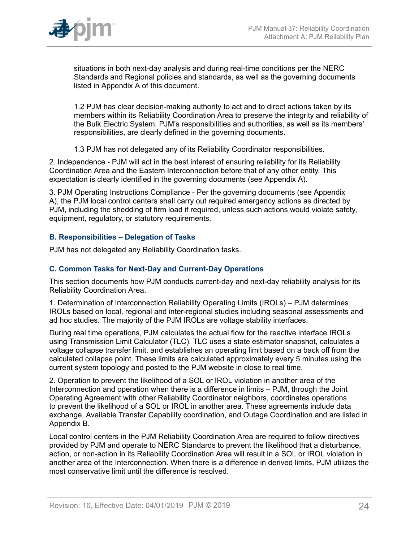

situations in both next-day analysis and during real-time conditions per the NERC Standards and Regional policies and standards, as well as the governing documents listed in Appendix A of this document.

1.2 PJM has clear decision-making authority to act and to direct actions taken by its members within its Reliability Coordination Area to preserve the integrity and reliability of the Bulk Electric System. PJM's responsibilities and authorities, as well as its members' responsibilities, are clearly defined in the governing documents.

1.3 PJM has not delegated any of its Reliability Coordinator responsibilities.

2. Independence - PJM will act in the best interest of ensuring reliability for its Reliability Coordination Area and the Eastern Interconnection before that of any other entity. This expectation is clearly identified in the governing documents (see Appendix A).

3. PJM Operating Instructions Compliance - Per the governing documents (see Appendix A), the PJM local control centers shall carry out required emergency actions as directed by PJM, including the shedding of firm load if required, unless such actions would violate safety, equipment, regulatory, or statutory requirements.

## <span id="page-23-0"></span>**B. Responsibilities – Delegation of Tasks**

PJM has not delegated any Reliability Coordination tasks.

### <span id="page-23-1"></span>**C. Common Tasks for Next-Day and Current-Day Operations**

This section documents how PJM conducts current-day and next-day reliability analysis for its Reliability Coordination Area.

1. Determination of Interconnection Reliability Operating Limits (IROLs) – PJM determines IROLs based on local, regional and inter-regional studies including seasonal assessments and ad hoc studies. The majority of the PJM IROLs are voltage stability interfaces.

During real time operations, PJM calculates the actual flow for the reactive interface IROLs using Transmission Limit Calculator (TLC). TLC uses a state estimator snapshot, calculates a voltage collapse transfer limit, and establishes an operating limit based on a back off from the calculated collapse point. These limits are calculated approximately every 5 minutes using the current system topology and posted to the PJM website in close to real time.

2. Operation to prevent the likelihood of a SOL or IROL violation in another area of the Interconnection and operation when there is a difference in limits – PJM, through the Joint Operating Agreement with other Reliability Coordinator neighbors, coordinates operations to prevent the likelihood of a SOL or IROL in another area. These agreements include data exchange, Available Transfer Capability coordination, and Outage Coordination and are listed in Appendix B.

Local control centers in the PJM Reliability Coordination Area are required to follow directives provided by PJM and operate to NERC Standards to prevent the likelihood that a disturbance, action, or non-action in its Reliability Coordination Area will result in a SOL or IROL violation in another area of the Interconnection. When there is a difference in derived limits, PJM utilizes the most conservative limit until the difference is resolved.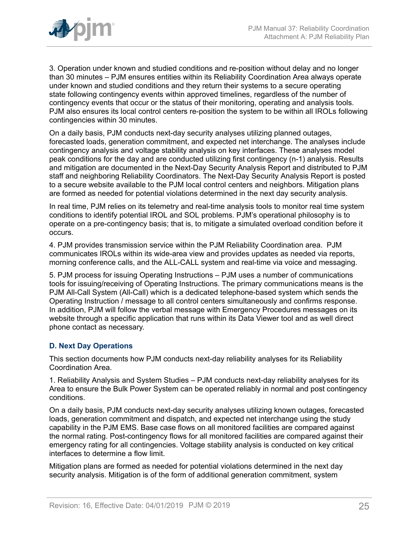

3. Operation under known and studied conditions and re-position without delay and no longer than 30 minutes – PJM ensures entities within its Reliability Coordination Area always operate under known and studied conditions and they return their systems to a secure operating state following contingency events within approved timelines, regardless of the number of contingency events that occur or the status of their monitoring, operating and analysis tools. PJM also ensures its local control centers re-position the system to be within all IROLs following contingencies within 30 minutes.

On a daily basis, PJM conducts next-day security analyses utilizing planned outages, forecasted loads, generation commitment, and expected net interchange. The analyses include contingency analysis and voltage stability analysis on key interfaces. These analyses model peak conditions for the day and are conducted utilizing first contingency (n-1) analysis. Results and mitigation are documented in the Next-Day Security Analysis Report and distributed to PJM staff and neighboring Reliability Coordinators. The Next-Day Security Analysis Report is posted to a secure website available to the PJM local control centers and neighbors. Mitigation plans are formed as needed for potential violations determined in the next day security analysis.

In real time, PJM relies on its telemetry and real-time analysis tools to monitor real time system conditions to identify potential IROL and SOL problems. PJM's operational philosophy is to operate on a pre-contingency basis; that is, to mitigate a simulated overload condition before it occurs.

4. PJM provides transmission service within the PJM Reliability Coordination area. PJM communicates IROLs within its wide-area view and provides updates as needed via reports, morning conference calls, and the ALL-CALL system and real-time via voice and messaging.

5. PJM process for issuing Operating Instructions – PJM uses a number of communications tools for issuing/receiving of Operating Instructions. The primary communications means is the PJM All-Call System (All-Call) which is a dedicated telephone-based system which sends the Operating Instruction / message to all control centers simultaneously and confirms response. In addition, PJM will follow the verbal message with Emergency Procedures messages on its website through a specific application that runs within its Data Viewer tool and as well direct phone contact as necessary.

## <span id="page-24-0"></span>**D. Next Day Operations**

This section documents how PJM conducts next-day reliability analyses for its Reliability Coordination Area.

1. Reliability Analysis and System Studies – PJM conducts next-day reliability analyses for its Area to ensure the Bulk Power System can be operated reliably in normal and post contingency conditions.

On a daily basis, PJM conducts next-day security analyses utilizing known outages, forecasted loads, generation commitment and dispatch, and expected net interchange using the study capability in the PJM EMS. Base case flows on all monitored facilities are compared against the normal rating. Post-contingency flows for all monitored facilities are compared against their emergency rating for all contingencies. Voltage stability analysis is conducted on key critical interfaces to determine a flow limit.

Mitigation plans are formed as needed for potential violations determined in the next day security analysis. Mitigation is of the form of additional generation commitment, system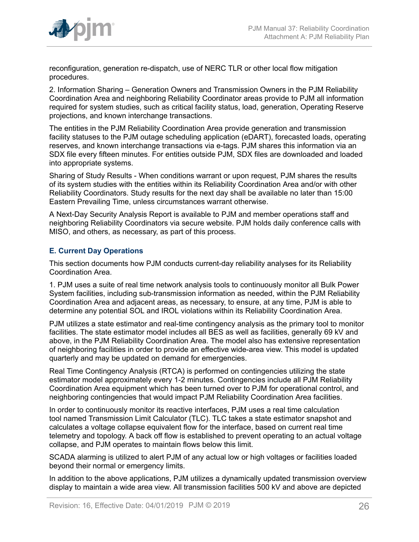

reconfiguration, generation re-dispatch, use of NERC TLR or other local flow mitigation procedures.

2. Information Sharing – Generation Owners and Transmission Owners in the PJM Reliability Coordination Area and neighboring Reliability Coordinator areas provide to PJM all information required for system studies, such as critical facility status, load, generation, Operating Reserve projections, and known interchange transactions.

The entities in the PJM Reliability Coordination Area provide generation and transmission facility statuses to the PJM outage scheduling application (eDART), forecasted loads, operating reserves, and known interchange transactions via e-tags. PJM shares this information via an SDX file every fifteen minutes. For entities outside PJM, SDX files are downloaded and loaded into appropriate systems.

Sharing of Study Results - When conditions warrant or upon request, PJM shares the results of its system studies with the entities within its Reliability Coordination Area and/or with other Reliability Coordinators. Study results for the next day shall be available no later than 15:00 Eastern Prevailing Time, unless circumstances warrant otherwise.

A Next-Day Security Analysis Report is available to PJM and member operations staff and neighboring Reliability Coordinators via secure website. PJM holds daily conference calls with MISO, and others, as necessary, as part of this process.

## <span id="page-25-0"></span>**E. Current Day Operations**

This section documents how PJM conducts current-day reliability analyses for its Reliability Coordination Area.

1. PJM uses a suite of real time network analysis tools to continuously monitor all Bulk Power System facilities, including sub-transmission information as needed, within the PJM Reliability Coordination Area and adjacent areas, as necessary, to ensure, at any time, PJM is able to determine any potential SOL and IROL violations within its Reliability Coordination Area.

PJM utilizes a state estimator and real-time contingency analysis as the primary tool to monitor facilities. The state estimator model includes all BES as well as facilities, generally 69 kV and above, in the PJM Reliability Coordination Area. The model also has extensive representation of neighboring facilities in order to provide an effective wide-area view. This model is updated quarterly and may be updated on demand for emergencies.

Real Time Contingency Analysis (RTCA) is performed on contingencies utilizing the state estimator model approximately every 1-2 minutes. Contingencies include all PJM Reliability Coordination Area equipment which has been turned over to PJM for operational control, and neighboring contingencies that would impact PJM Reliability Coordination Area facilities.

In order to continuously monitor its reactive interfaces, PJM uses a real time calculation tool named Transmission Limit Calculator (TLC). TLC takes a state estimator snapshot and calculates a voltage collapse equivalent flow for the interface, based on current real time telemetry and topology. A back off flow is established to prevent operating to an actual voltage collapse, and PJM operates to maintain flows below this limit.

SCADA alarming is utilized to alert PJM of any actual low or high voltages or facilities loaded beyond their normal or emergency limits.

In addition to the above applications, PJM utilizes a dynamically updated transmission overview display to maintain a wide area view. All transmission facilities 500 kV and above are depicted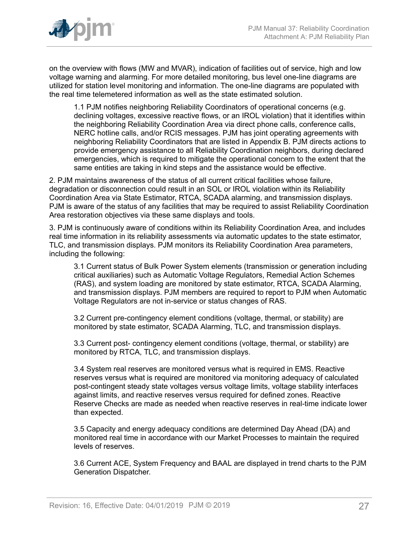

on the overview with flows (MW and MVAR), indication of facilities out of service, high and low voltage warning and alarming. For more detailed monitoring, bus level one-line diagrams are utilized for station level monitoring and information. The one-line diagrams are populated with the real time telemetered information as well as the state estimated solution.

1.1 PJM notifies neighboring Reliability Coordinators of operational concerns (e.g. declining voltages, excessive reactive flows, or an IROL violation) that it identifies within the neighboring Reliability Coordination Area via direct phone calls, conference calls, NERC hotline calls, and/or RCIS messages. PJM has joint operating agreements with neighboring Reliability Coordinators that are listed in Appendix B. PJM directs actions to provide emergency assistance to all Reliability Coordination neighbors, during declared emergencies, which is required to mitigate the operational concern to the extent that the same entities are taking in kind steps and the assistance would be effective.

2. PJM maintains awareness of the status of all current critical facilities whose failure, degradation or disconnection could result in an SOL or IROL violation within its Reliability Coordination Area via State Estimator, RTCA, SCADA alarming, and transmission displays. PJM is aware of the status of any facilities that may be required to assist Reliability Coordination Area restoration objectives via these same displays and tools.

3. PJM is continuously aware of conditions within its Reliability Coordination Area, and includes real time information in its reliability assessments via automatic updates to the state estimator, TLC, and transmission displays. PJM monitors its Reliability Coordination Area parameters, including the following:

3.1 Current status of Bulk Power System elements (transmission or generation including critical auxiliaries) such as Automatic Voltage Regulators, Remedial Action Schemes (RAS), and system loading are monitored by state estimator, RTCA, SCADA Alarming, and transmission displays. PJM members are required to report to PJM when Automatic Voltage Regulators are not in-service or status changes of RAS.

3.2 Current pre-contingency element conditions (voltage, thermal, or stability) are monitored by state estimator, SCADA Alarming, TLC, and transmission displays.

3.3 Current post- contingency element conditions (voltage, thermal, or stability) are monitored by RTCA, TLC, and transmission displays.

3.4 System real reserves are monitored versus what is required in EMS. Reactive reserves versus what is required are monitored via monitoring adequacy of calculated post-contingent steady state voltages versus voltage limits, voltage stability interfaces against limits, and reactive reserves versus required for defined zones. Reactive Reserve Checks are made as needed when reactive reserves in real-time indicate lower than expected.

3.5 Capacity and energy adequacy conditions are determined Day Ahead (DA) and monitored real time in accordance with our Market Processes to maintain the required levels of reserves.

3.6 Current ACE, System Frequency and BAAL are displayed in trend charts to the PJM Generation Dispatcher.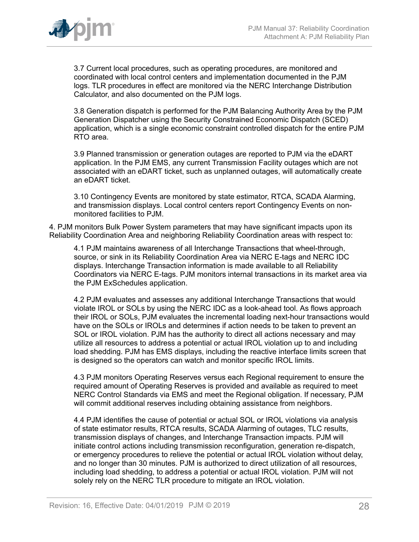

3.7 Current local procedures, such as operating procedures, are monitored and coordinated with local control centers and implementation documented in the PJM logs. TLR procedures in effect are monitored via the NERC Interchange Distribution Calculator, and also documented on the PJM logs.

3.8 Generation dispatch is performed for the PJM Balancing Authority Area by the PJM Generation Dispatcher using the Security Constrained Economic Dispatch (SCED) application, which is a single economic constraint controlled dispatch for the entire PJM RTO area.

3.9 Planned transmission or generation outages are reported to PJM via the eDART application. In the PJM EMS, any current Transmission Facility outages which are not associated with an eDART ticket, such as unplanned outages, will automatically create an eDART ticket.

3.10 Contingency Events are monitored by state estimator, RTCA, SCADA Alarming, and transmission displays. Local control centers report Contingency Events on nonmonitored facilities to PJM.

4. PJM monitors Bulk Power System parameters that may have significant impacts upon its Reliability Coordination Area and neighboring Reliability Coordination areas with respect to:

4.1 PJM maintains awareness of all Interchange Transactions that wheel-through, source, or sink in its Reliability Coordination Area via NERC E-tags and NERC IDC displays. Interchange Transaction information is made available to all Reliability Coordinators via NERC E-tags. PJM monitors internal transactions in its market area via the PJM ExSchedules application.

4.2 PJM evaluates and assesses any additional Interchange Transactions that would violate IROL or SOLs by using the NERC IDC as a look-ahead tool. As flows approach their IROL or SOLs, PJM evaluates the incremental loading next-hour transactions would have on the SOLs or IROLs and determines if action needs to be taken to prevent an SOL or IROL violation. PJM has the authority to direct all actions necessary and may utilize all resources to address a potential or actual IROL violation up to and including load shedding. PJM has EMS displays, including the reactive interface limits screen that is designed so the operators can watch and monitor specific IROL limits.

4.3 PJM monitors Operating Reserves versus each Regional requirement to ensure the required amount of Operating Reserves is provided and available as required to meet NERC Control Standards via EMS and meet the Regional obligation. If necessary, PJM will commit additional reserves including obtaining assistance from neighbors.

4.4 PJM identifies the cause of potential or actual SOL or IROL violations via analysis of state estimator results, RTCA results, SCADA Alarming of outages, TLC results, transmission displays of changes, and Interchange Transaction impacts. PJM will initiate control actions including transmission reconfiguration, generation re-dispatch, or emergency procedures to relieve the potential or actual IROL violation without delay, and no longer than 30 minutes. PJM is authorized to direct utilization of all resources, including load shedding, to address a potential or actual IROL violation. PJM will not solely rely on the NERC TLR procedure to mitigate an IROL violation.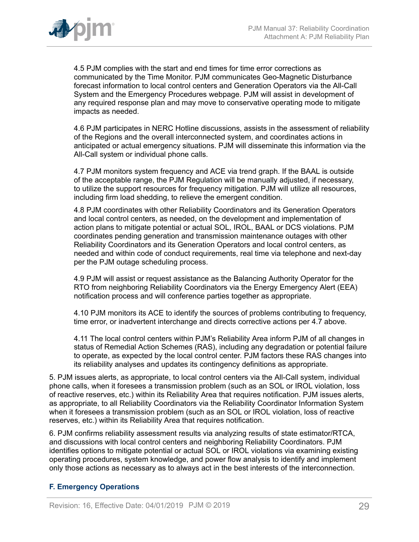

4.5 PJM complies with the start and end times for time error corrections as communicated by the Time Monitor. PJM communicates Geo-Magnetic Disturbance forecast information to local control centers and Generation Operators via the All-Call System and the Emergency Procedures webpage. PJM will assist in development of any required response plan and may move to conservative operating mode to mitigate impacts as needed.

4.6 PJM participates in NERC Hotline discussions, assists in the assessment of reliability of the Regions and the overall interconnected system, and coordinates actions in anticipated or actual emergency situations. PJM will disseminate this information via the All-Call system or individual phone calls.

4.7 PJM monitors system frequency and ACE via trend graph. If the BAAL is outside of the acceptable range, the PJM Regulation will be manually adjusted, if necessary, to utilize the support resources for frequency mitigation. PJM will utilize all resources, including firm load shedding, to relieve the emergent condition.

4.8 PJM coordinates with other Reliability Coordinators and its Generation Operators and local control centers, as needed, on the development and implementation of action plans to mitigate potential or actual SOL, IROL, BAAL or DCS violations. PJM coordinates pending generation and transmission maintenance outages with other Reliability Coordinators and its Generation Operators and local control centers, as needed and within code of conduct requirements, real time via telephone and next-day per the PJM outage scheduling process.

4.9 PJM will assist or request assistance as the Balancing Authority Operator for the RTO from neighboring Reliability Coordinators via the Energy Emergency Alert (EEA) notification process and will conference parties together as appropriate.

4.10 PJM monitors its ACE to identify the sources of problems contributing to frequency, time error, or inadvertent interchange and directs corrective actions per 4.7 above.

4.11 The local control centers within PJM's Reliability Area inform PJM of all changes in status of Remedial Action Schemes (RAS), including any degradation or potential failure to operate, as expected by the local control center. PJM factors these RAS changes into its reliability analyses and updates its contingency definitions as appropriate.

5. PJM issues alerts, as appropriate, to local control centers via the All-Call system, individual phone calls, when it foresees a transmission problem (such as an SOL or IROL violation, loss of reactive reserves, etc.) within its Reliability Area that requires notification. PJM issues alerts, as appropriate, to all Reliability Coordinators via the Reliability Coordinator Information System when it foresees a transmission problem (such as an SOL or IROL violation, loss of reactive reserves, etc.) within its Reliability Area that requires notification.

6. PJM confirms reliability assessment results via analyzing results of state estimator/RTCA, and discussions with local control centers and neighboring Reliability Coordinators. PJM identifies options to mitigate potential or actual SOL or IROL violations via examining existing operating procedures, system knowledge, and power flow analysis to identify and implement only those actions as necessary as to always act in the best interests of the interconnection.

## <span id="page-28-0"></span>**F. Emergency Operations**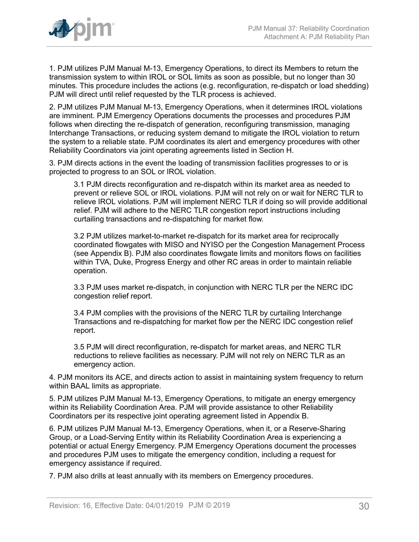

1. PJM utilizes PJM Manual M-13, Emergency Operations, to direct its Members to return the transmission system to within IROL or SOL limits as soon as possible, but no longer than 30 minutes. This procedure includes the actions (e.g. reconfiguration, re-dispatch or load shedding) PJM will direct until relief requested by the TLR process is achieved.

2. PJM utilizes PJM Manual M-13, Emergency Operations, when it determines IROL violations are imminent. PJM Emergency Operations documents the processes and procedures PJM follows when directing the re-dispatch of generation, reconfiguring transmission, managing Interchange Transactions, or reducing system demand to mitigate the IROL violation to return the system to a reliable state. PJM coordinates its alert and emergency procedures with other Reliability Coordinators via joint operating agreements listed in Section H.

3. PJM directs actions in the event the loading of transmission facilities progresses to or is projected to progress to an SOL or IROL violation.

3.1 PJM directs reconfiguration and re-dispatch within its market area as needed to prevent or relieve SOL or IROL violations. PJM will not rely on or wait for NERC TLR to relieve IROL violations. PJM will implement NERC TLR if doing so will provide additional relief. PJM will adhere to the NERC TLR congestion report instructions including curtailing transactions and re-dispatching for market flow.

3.2 PJM utilizes market-to-market re-dispatch for its market area for reciprocally coordinated flowgates with MISO and NYISO per the Congestion Management Process (see Appendix B). PJM also coordinates flowgate limits and monitors flows on facilities within TVA, Duke, Progress Energy and other RC areas in order to maintain reliable operation.

3.3 PJM uses market re-dispatch, in conjunction with NERC TLR per the NERC IDC congestion relief report.

3.4 PJM complies with the provisions of the NERC TLR by curtailing Interchange Transactions and re-dispatching for market flow per the NERC IDC congestion relief report.

3.5 PJM will direct reconfiguration, re-dispatch for market areas, and NERC TLR reductions to relieve facilities as necessary. PJM will not rely on NERC TLR as an emergency action.

4. PJM monitors its ACE, and directs action to assist in maintaining system frequency to return within BAAL limits as appropriate.

5. PJM utilizes PJM Manual M-13, Emergency Operations, to mitigate an energy emergency within its Reliability Coordination Area. PJM will provide assistance to other Reliability Coordinators per its respective joint operating agreement listed in Appendix B.

6. PJM utilizes PJM Manual M-13, Emergency Operations, when it, or a Reserve-Sharing Group, or a Load-Serving Entity within its Reliability Coordination Area is experiencing a potential or actual Energy Emergency. PJM Emergency Operations document the processes and procedures PJM uses to mitigate the emergency condition, including a request for emergency assistance if required.

7. PJM also drills at least annually with its members on Emergency procedures.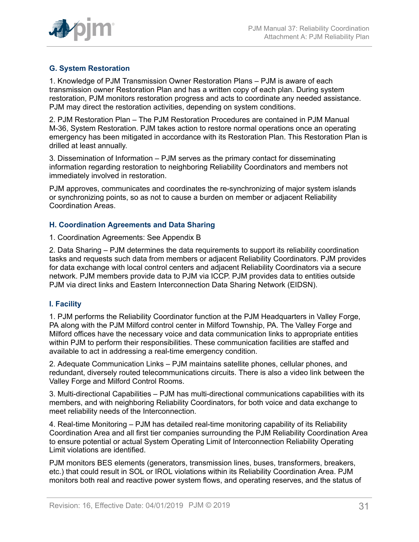

## <span id="page-30-0"></span>**G. System Restoration**

1. Knowledge of PJM Transmission Owner Restoration Plans – PJM is aware of each transmission owner Restoration Plan and has a written copy of each plan. During system restoration, PJM monitors restoration progress and acts to coordinate any needed assistance. PJM may direct the restoration activities, depending on system conditions.

2. PJM Restoration Plan – The PJM Restoration Procedures are contained in PJM Manual M-36, System Restoration. PJM takes action to restore normal operations once an operating emergency has been mitigated in accordance with its Restoration Plan. This Restoration Plan is drilled at least annually.

3. Dissemination of Information – PJM serves as the primary contact for disseminating information regarding restoration to neighboring Reliability Coordinators and members not immediately involved in restoration.

PJM approves, communicates and coordinates the re-synchronizing of major system islands or synchronizing points, so as not to cause a burden on member or adjacent Reliability Coordination Areas.

#### <span id="page-30-1"></span>**H. Coordination Agreements and Data Sharing**

#### 1. Coordination Agreements: See Appendix B

2. Data Sharing – PJM determines the data requirements to support its reliability coordination tasks and requests such data from members or adjacent Reliability Coordinators. PJM provides for data exchange with local control centers and adjacent Reliability Coordinators via a secure network. PJM members provide data to PJM via ICCP. PJM provides data to entities outside PJM via direct links and Eastern Interconnection Data Sharing Network (EIDSN).

## <span id="page-30-2"></span>**I. Facility**

1. PJM performs the Reliability Coordinator function at the PJM Headquarters in Valley Forge, PA along with the PJM Milford control center in Milford Township, PA. The Valley Forge and Milford offices have the necessary voice and data communication links to appropriate entities within PJM to perform their responsibilities. These communication facilities are staffed and available to act in addressing a real-time emergency condition.

2. Adequate Communication Links – PJM maintains satellite phones, cellular phones, and redundant, diversely routed telecommunications circuits. There is also a video link between the Valley Forge and Milford Control Rooms.

3. Multi-directional Capabilities – PJM has multi-directional communications capabilities with its members, and with neighboring Reliability Coordinators, for both voice and data exchange to meet reliability needs of the Interconnection.

4. Real-time Monitoring – PJM has detailed real-time monitoring capability of its Reliability Coordination Area and all first tier companies surrounding the PJM Reliability Coordination Area to ensure potential or actual System Operating Limit of Interconnection Reliability Operating Limit violations are identified.

PJM monitors BES elements (generators, transmission lines, buses, transformers, breakers, etc.) that could result in SOL or IROL violations within its Reliability Coordination Area. PJM monitors both real and reactive power system flows, and operating reserves, and the status of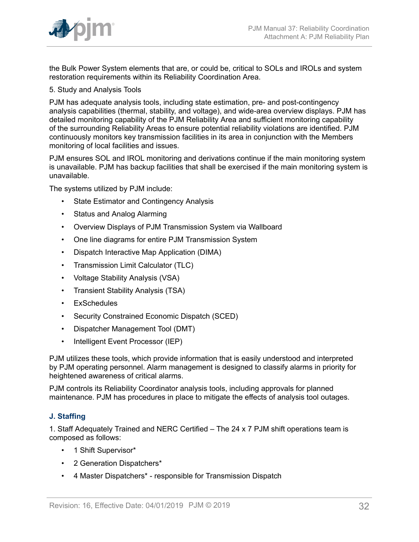

the Bulk Power System elements that are, or could be, critical to SOLs and IROLs and system restoration requirements within its Reliability Coordination Area.

5. Study and Analysis Tools

PJM has adequate analysis tools, including state estimation, pre- and post-contingency analysis capabilities (thermal, stability, and voltage), and wide-area overview displays. PJM has detailed monitoring capability of the PJM Reliability Area and sufficient monitoring capability of the surrounding Reliability Areas to ensure potential reliability violations are identified. PJM continuously monitors key transmission facilities in its area in conjunction with the Members monitoring of local facilities and issues.

PJM ensures SOL and IROL monitoring and derivations continue if the main monitoring system is unavailable. PJM has backup facilities that shall be exercised if the main monitoring system is unavailable.

The systems utilized by PJM include:

- State Estimator and Contingency Analysis
- Status and Analog Alarming
- Overview Displays of PJM Transmission System via Wallboard
- One line diagrams for entire PJM Transmission System
- Dispatch Interactive Map Application (DIMA)
- Transmission Limit Calculator (TLC)
- Voltage Stability Analysis (VSA)
- Transient Stability Analysis (TSA)
- ExSchedules
- Security Constrained Economic Dispatch (SCED)
- Dispatcher Management Tool (DMT)
- Intelligent Event Processor (IEP)

PJM utilizes these tools, which provide information that is easily understood and interpreted by PJM operating personnel. Alarm management is designed to classify alarms in priority for heightened awareness of critical alarms.

PJM controls its Reliability Coordinator analysis tools, including approvals for planned maintenance. PJM has procedures in place to mitigate the effects of analysis tool outages.

## <span id="page-31-0"></span>**J. Staffing**

1. Staff Adequately Trained and NERC Certified – The 24 x 7 PJM shift operations team is composed as follows:

- 1 Shift Supervisor\*
- 2 Generation Dispatchers\*
- 4 Master Dispatchers\* responsible for Transmission Dispatch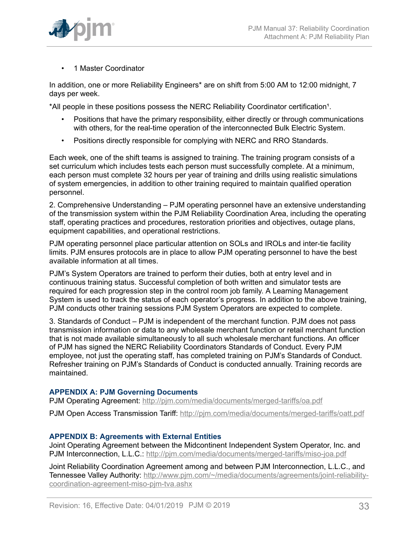

• 1 Master Coordinator

In addition, one or more Reliability Engineers\* are on shift from 5:00 AM to 12:00 midnight, 7 days per week.

\*All people in these positions possess the NERC Reliability Coordinator certification<sup>1</sup>.

- Positions that have the primary responsibility, either directly or through communications with others, for the real-time operation of the interconnected Bulk Electric System.
- Positions directly responsible for complying with NERC and RRO Standards.

Each week, one of the shift teams is assigned to training. The training program consists of a set curriculum which includes tests each person must successfully complete. At a minimum, each person must complete 32 hours per year of training and drills using realistic simulations of system emergencies, in addition to other training required to maintain qualified operation personnel.

2. Comprehensive Understanding – PJM operating personnel have an extensive understanding of the transmission system within the PJM Reliability Coordination Area, including the operating staff, operating practices and procedures, restoration priorities and objectives, outage plans, equipment capabilities, and operational restrictions.

PJM operating personnel place particular attention on SOLs and IROLs and inter-tie facility limits. PJM ensures protocols are in place to allow PJM operating personnel to have the best available information at all times.

PJM's System Operators are trained to perform their duties, both at entry level and in continuous training status. Successful completion of both written and simulator tests are required for each progression step in the control room job family. A Learning Management System is used to track the status of each operator's progress. In addition to the above training, PJM conducts other training sessions PJM System Operators are expected to complete.

3. Standards of Conduct – PJM is independent of the merchant function. PJM does not pass transmission information or data to any wholesale merchant function or retail merchant function that is not made available simultaneously to all such wholesale merchant functions. An officer of PJM has signed the NERC Reliability Coordinators Standards of Conduct. Every PJM employee, not just the operating staff, has completed training on PJM's Standards of Conduct. Refresher training on PJM's Standards of Conduct is conducted annually. Training records are maintained.

## <span id="page-32-0"></span>**APPENDIX A: PJM Governing Documents**

PJM Operating Agreement:<http://pjm.com/media/documents/merged-tariffs/oa.pdf>

PJM Open Access Transmission Tariff: <http://pjm.com/media/documents/merged-tariffs/oatt.pdf>

#### <span id="page-32-1"></span>**APPENDIX B: Agreements with External Entities**

Joint Operating Agreement between the Midcontinent Independent System Operator, Inc. and PJM Interconnection, L.L.C.: <http://pjm.com/media/documents/merged-tariffs/miso-joa.pdf>

Joint Reliability Coordination Agreement among and between PJM Interconnection, L.L.C., and Tennessee Valley Authority: [http://www.pjm.com/~/media/documents/agreements/joint-reliability](http://www.pjm.com/~/media/documents/agreements/joint-reliability-coordination-agreement-miso-pjm-tva.ashx)[coordination-agreement-miso-pjm-tva.ashx](http://www.pjm.com/~/media/documents/agreements/joint-reliability-coordination-agreement-miso-pjm-tva.ashx)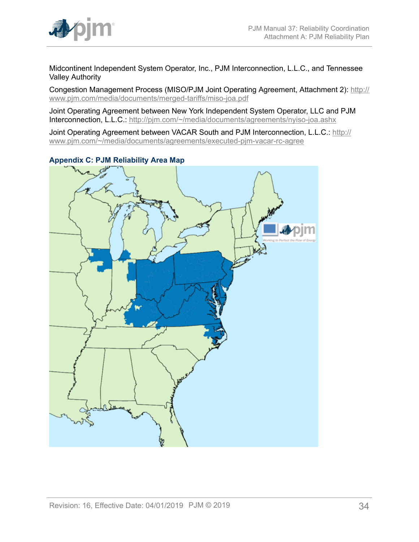

Midcontinent Independent System Operator, Inc., PJM Interconnection, L.L.C., and Tennessee Valley Authority

Congestion Management Process (MISO/PJM Joint Operating Agreement, Attachment 2): [http://](http://www.pjm.com/media/documents/merged-tariffs/miso-joa.pdf) [www.pjm.com/media/documents/merged-tariffs/miso-joa.pdf](http://www.pjm.com/media/documents/merged-tariffs/miso-joa.pdf)

Joint Operating Agreement between New York Independent System Operator, LLC and PJM Interconnection, L.L.C.: <http://pjm.com/~/media/documents/agreements/nyiso-joa.ashx>

Joint Operating Agreement between VACAR South and PJM Interconnection, L.L.C.: [http://](http://www.pjm.com/~/media/documents/agreements/executed-pjm-vacar-rc-agree) [www.pjm.com/~/media/documents/agreements/executed-pjm-vacar-rc-agree](http://www.pjm.com/~/media/documents/agreements/executed-pjm-vacar-rc-agree)



<span id="page-33-0"></span>**Appendix C: PJM Reliability Area Map**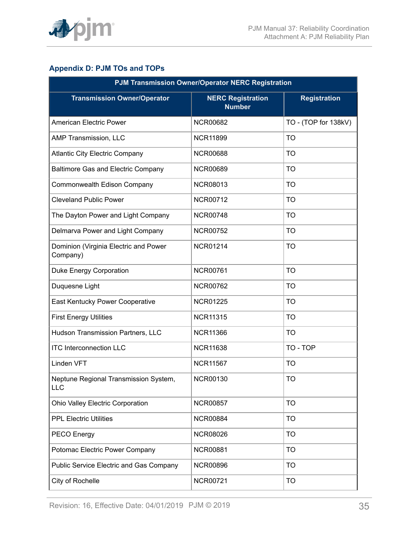

## <span id="page-34-0"></span>**Appendix D: PJM TOs and TOPs**

| <b>PJM Transmission Owner/Operator NERC Registration</b> |                                           |                      |  |
|----------------------------------------------------------|-------------------------------------------|----------------------|--|
| <b>Transmission Owner/Operator</b>                       | <b>NERC Registration</b><br><b>Number</b> | <b>Registration</b>  |  |
| <b>American Electric Power</b>                           | <b>NCR00682</b>                           | TO - (TOP for 138kV) |  |
| AMP Transmission, LLC                                    | <b>NCR11899</b>                           | <b>TO</b>            |  |
| <b>Atlantic City Electric Company</b>                    | <b>NCR00688</b>                           | <b>TO</b>            |  |
| Baltimore Gas and Electric Company                       | <b>NCR00689</b>                           | <b>TO</b>            |  |
| Commonwealth Edison Company                              | <b>NCR08013</b>                           | <b>TO</b>            |  |
| <b>Cleveland Public Power</b>                            | <b>NCR00712</b>                           | <b>TO</b>            |  |
| The Dayton Power and Light Company                       | <b>NCR00748</b>                           | <b>TO</b>            |  |
| Delmarva Power and Light Company                         | <b>NCR00752</b>                           | <b>TO</b>            |  |
| Dominion (Virginia Electric and Power<br>Company)        | <b>NCR01214</b>                           | <b>TO</b>            |  |
| Duke Energy Corporation                                  | <b>NCR00761</b>                           | <b>TO</b>            |  |
| Duquesne Light                                           | <b>NCR00762</b>                           | <b>TO</b>            |  |
| East Kentucky Power Cooperative                          | <b>NCR01225</b>                           | <b>TO</b>            |  |
| <b>First Energy Utilities</b>                            | <b>NCR11315</b>                           | <b>TO</b>            |  |
| Hudson Transmission Partners, LLC                        | <b>NCR11366</b>                           | <b>TO</b>            |  |
| <b>ITC Interconnection LLC</b>                           | <b>NCR11638</b>                           | TO - TOP             |  |
| Linden VFT                                               | <b>NCR11567</b>                           | <b>TO</b>            |  |
| Neptune Regional Transmission System,<br>LLC             | <b>NCR00130</b>                           | <b>TO</b>            |  |
| <b>Ohio Valley Electric Corporation</b>                  | <b>NCR00857</b>                           | <b>TO</b>            |  |
| <b>PPL Electric Utilities</b>                            | <b>NCR00884</b>                           | <b>TO</b>            |  |
| PECO Energy                                              | <b>NCR08026</b>                           | <b>TO</b>            |  |
| Potomac Electric Power Company                           | <b>NCR00881</b>                           | <b>TO</b>            |  |
| <b>Public Service Electric and Gas Company</b>           | <b>NCR00896</b>                           | <b>TO</b>            |  |
| City of Rochelle                                         | <b>NCR00721</b>                           | <b>TO</b>            |  |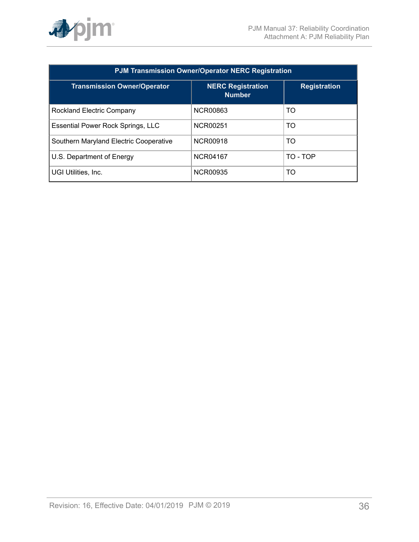

| <b>PJM Transmission Owner/Operator NERC Registration</b> |                                           |                     |
|----------------------------------------------------------|-------------------------------------------|---------------------|
| <b>Transmission Owner/Operator</b>                       | <b>NERC Registration</b><br><b>Number</b> | <b>Registration</b> |
| Rockland Electric Company                                | <b>NCR00863</b>                           | TO                  |
| Essential Power Rock Springs, LLC                        | NCR00251                                  | <b>TO</b>           |
| Southern Maryland Electric Cooperative                   | <b>NCR00918</b>                           | TO                  |
| U.S. Department of Energy                                | <b>NCR04167</b>                           | TO - TOP            |
| UGI Utilities, Inc.                                      | <b>NCR00935</b>                           | TO                  |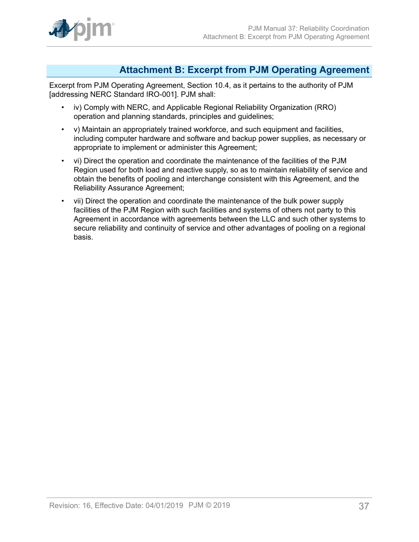

## <span id="page-36-0"></span>**Attachment B: Excerpt from PJM Operating Agreement**

Excerpt from PJM Operating Agreement, Section 10.4, as it pertains to the authority of PJM [addressing NERC Standard IRO-001]. PJM shall:

- iv) Comply with NERC, and Applicable Regional Reliability Organization (RRO) operation and planning standards, principles and guidelines;
- v) Maintain an appropriately trained workforce, and such equipment and facilities, including computer hardware and software and backup power supplies, as necessary or appropriate to implement or administer this Agreement;
- vi) Direct the operation and coordinate the maintenance of the facilities of the PJM Region used for both load and reactive supply, so as to maintain reliability of service and obtain the benefits of pooling and interchange consistent with this Agreement, and the Reliability Assurance Agreement;
- vii) Direct the operation and coordinate the maintenance of the bulk power supply facilities of the PJM Region with such facilities and systems of others not party to this Agreement in accordance with agreements between the LLC and such other systems to secure reliability and continuity of service and other advantages of pooling on a regional basis.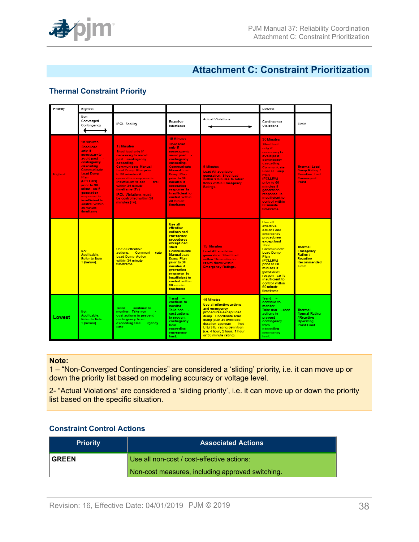

## <span id="page-37-0"></span>**Attachment C: Constraint Prioritization**

## **Thermal Constraint Priority**

| Priority       | Highest                                                                                                                                                                                                                                                                                                           |                                                                                                                                                                                                                                                                                                                                                                  |                                                                                                                                                                                                                                                                                                        |                                                                                                                                                                                                                                                                            | Lowest                                                                                                                                                                                                                                                                                         |                                                                                                   |
|----------------|-------------------------------------------------------------------------------------------------------------------------------------------------------------------------------------------------------------------------------------------------------------------------------------------------------------------|------------------------------------------------------------------------------------------------------------------------------------------------------------------------------------------------------------------------------------------------------------------------------------------------------------------------------------------------------------------|--------------------------------------------------------------------------------------------------------------------------------------------------------------------------------------------------------------------------------------------------------------------------------------------------------|----------------------------------------------------------------------------------------------------------------------------------------------------------------------------------------------------------------------------------------------------------------------------|------------------------------------------------------------------------------------------------------------------------------------------------------------------------------------------------------------------------------------------------------------------------------------------------|---------------------------------------------------------------------------------------------------|
|                | Non<br>Converged<br>Contingency                                                                                                                                                                                                                                                                                   | <b>IROL Facility</b>                                                                                                                                                                                                                                                                                                                                             | Reactive<br>Interfaces                                                                                                                                                                                                                                                                                 | <b>Actual Violations</b>                                                                                                                                                                                                                                                   | Contingency<br>Violations                                                                                                                                                                                                                                                                      | Limit                                                                                             |
| <b>Highest</b> | <b>15 Minutes</b><br><b>Shed load</b><br>only if<br>necessary to<br>avoid post<br>na.<br>contingency<br>cascading.<br>Communicate<br><b>Load Dump</b><br><b>Plan</b><br>(PCLLRW)<br>prior to 30<br>minut es if<br><b>generation</b><br>response is<br>insufficient to<br>control within<br>30 minute<br>timeframe | <b>15 Minutes</b><br><b>Shed load only if</b><br>necessary to avoid<br>post -contingency<br>cascading.<br><b>Communicate Manual</b><br><b>Load Dump Plan prior</b><br>to 30 minutes if<br>generation response is<br>insufficient to con<br>trol<br>within 30 minute<br>timeframe (Tv)<br><b>IROL Violations must</b><br>be controlled within 30<br>minutes (Tv). | <b>15 Minutes</b><br><b>Shed load</b><br>only if<br>necessary to<br>avoid post -<br>contingency<br>cascading.<br>Communicate<br><b>Manual Load</b><br><b>Dump Plan</b><br>prior to 30<br>minutes if<br><b>generation</b><br>response is<br>insufficient to<br>control within<br>30 minute<br>timeframe | <b>5 Minutes</b><br><b>Load All available</b><br>generation. Shed load<br>within 5 minutes to return<br>flows within Emergency<br>Ratings.                                                                                                                                 | <b>30 Minutes</b><br><b>Shed load</b><br>only if<br>necessary to<br>avoid post -<br>contingency<br>cascading.<br>Communicate<br>Load D ump<br>Plan<br>(PCLLRW)<br>prior to 60<br>minutes if<br><b>generation</b><br>response is<br>insufficient to<br>control within<br>60 minute<br>timeframe | <b>Thermal Load</b><br>Dump Rating /<br><b>Reactive Last</b><br><b>Convergent</b><br><b>Point</b> |
|                | <b>Not</b><br>Applicable.<br><b>Refer to Note</b><br>1 (below).                                                                                                                                                                                                                                                   | <b>Use all effective</b><br>actions. Communi cate<br><b>Load Dump Action</b><br>within 30 minute<br>timeframe.                                                                                                                                                                                                                                                   | <b>Use all</b><br>effective<br>actions and<br>emergency<br>procedures<br>except load<br>shed.<br><b>Communicate</b><br><b>Manual Load</b><br>Dump Plan<br>prior to 30<br>minutes if<br><b>generation</b><br>response is<br>insufficient to<br>control within<br>30 minute<br>timeframe                 | <b>15 Minutes</b><br><b>Load All available</b><br>generation. Shed load<br>within 15 minutes to<br>return flows within<br><b>Emergency Ratings.</b>                                                                                                                        | <b>Use all</b><br>effective<br>actions and<br>emergency<br><b>procedures</b><br>except load<br>shed.<br>Communicate<br><b>Load Dump</b><br>Plan<br>(PCLLRW)<br>prior to 60<br>minutes if<br>qeneration<br>respon se is<br>insufficient to<br>control within<br>60 minute<br>timeframe          | <b>Thermal</b><br><b>Emergency</b><br>Rating /<br>Reactive<br>Recommended<br>Limit                |
| Lowest         | <b>Not</b><br>Applicable.<br>Refer to Note<br>1 (below).                                                                                                                                                                                                                                                          | $Trend - continue to$<br>monitor. Take non<br>cost actions to prevent<br>contingency from<br>exceeding eme<br>rgency<br>limit.                                                                                                                                                                                                                                   | $Trend =$<br>continue to<br>monitor.<br>Take non -<br>cost actions<br>to prevent<br>contingency<br>from<br>exceeding<br>emergency<br>limit.                                                                                                                                                            | <b>15 Minutes</b><br><b>Use all effective actions</b><br>and emergency<br>procedures except load<br>dump. Coordinate load<br>dump plan as overload<br>duration approac<br>hed<br><b>LTE/STE</b> rating definition<br>(i.e. 4 hour, 2 hour, 1 hour<br>or 30 minute rating). | $Trend -$<br>continue to<br>monitor.<br>Take non - cost<br>actions to<br>prevent<br>contingency<br>from<br>exceeding<br>emergency<br>limit.                                                                                                                                                    | <b>Thermal</b><br><b>Normal Rating</b><br>/ Reactive<br><b>Operating</b><br><b>Point Limit</b>    |

#### **Note:**

1 – "Non-Converged Contingencies" are considered a 'sliding' priority, i.e. it can move up or down the priority list based on modeling accuracy or voltage level.

2- "Actual Violations" are considered a 'sliding priority', i.e. it can move up or down the priority list based on the specific situation.

## **Constraint Control Actions**

| <b>Priority</b>                                  | <b>Associated Actions</b>                  |  |
|--------------------------------------------------|--------------------------------------------|--|
| <b>GREEN</b>                                     | Use all non-cost / cost-effective actions: |  |
| Non-cost measures, including approved switching. |                                            |  |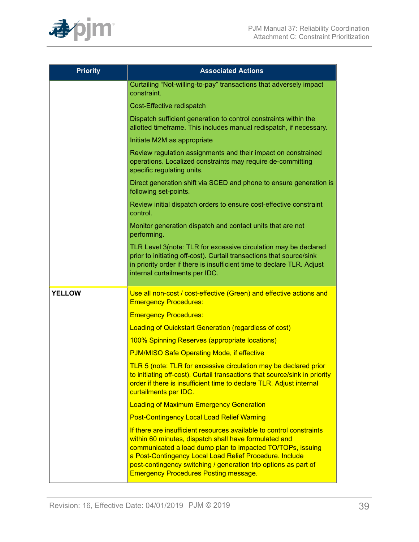

| <b>Priority</b> | <b>Associated Actions</b>                                                                                                                                                                                                                                                                                                                                                 |  |  |
|-----------------|---------------------------------------------------------------------------------------------------------------------------------------------------------------------------------------------------------------------------------------------------------------------------------------------------------------------------------------------------------------------------|--|--|
|                 | Curtailing "Not-willing-to-pay" transactions that adversely impact<br>constraint.                                                                                                                                                                                                                                                                                         |  |  |
|                 | Cost-Effective redispatch                                                                                                                                                                                                                                                                                                                                                 |  |  |
|                 | Dispatch sufficient generation to control constraints within the<br>allotted timeframe. This includes manual redispatch, if necessary.                                                                                                                                                                                                                                    |  |  |
|                 | Initiate M2M as appropriate                                                                                                                                                                                                                                                                                                                                               |  |  |
|                 | Review regulation assignments and their impact on constrained<br>operations. Localized constraints may require de-committing<br>specific regulating units.                                                                                                                                                                                                                |  |  |
|                 | Direct generation shift via SCED and phone to ensure generation is<br>following set-points.                                                                                                                                                                                                                                                                               |  |  |
|                 | Review initial dispatch orders to ensure cost-effective constraint<br>control.                                                                                                                                                                                                                                                                                            |  |  |
|                 | Monitor generation dispatch and contact units that are not<br>performing.                                                                                                                                                                                                                                                                                                 |  |  |
|                 | TLR Level 3(note: TLR for excessive circulation may be declared<br>prior to initiating off-cost). Curtail transactions that source/sink<br>in priority order if there is insufficient time to declare TLR. Adjust<br>internal curtailments per IDC.                                                                                                                       |  |  |
| <b>YELLOW</b>   | Use all non-cost / cost-effective (Green) and effective actions and<br><b>Emergency Procedures:</b>                                                                                                                                                                                                                                                                       |  |  |
|                 | <b>Emergency Procedures:</b>                                                                                                                                                                                                                                                                                                                                              |  |  |
|                 | <b>Loading of Quickstart Generation (regardless of cost)</b>                                                                                                                                                                                                                                                                                                              |  |  |
|                 | 100% Spinning Reserves (appropriate locations)                                                                                                                                                                                                                                                                                                                            |  |  |
|                 | <b>PJM/MISO Safe Operating Mode, if effective</b>                                                                                                                                                                                                                                                                                                                         |  |  |
|                 | TLR 5 (note: TLR for excessive circulation may be declared prior<br>to initiating off-cost). Curtail transactions that source/sink in priority<br>order if there is insufficient time to declare TLR. Adjust internal<br>curtailments per IDC.                                                                                                                            |  |  |
|                 | <b>Loading of Maximum Emergency Generation</b>                                                                                                                                                                                                                                                                                                                            |  |  |
|                 | <b>Post-Contingency Local Load Relief Warning</b>                                                                                                                                                                                                                                                                                                                         |  |  |
|                 | If there are insufficient resources available to control constraints<br>within 60 minutes, dispatch shall have formulated and<br>communicated a load dump plan to impacted TO/TOPs, issuing<br>a Post-Contingency Local Load Relief Procedure. Include<br>post-contingency switching / generation trip options as part of<br><b>Emergency Procedures Posting message.</b> |  |  |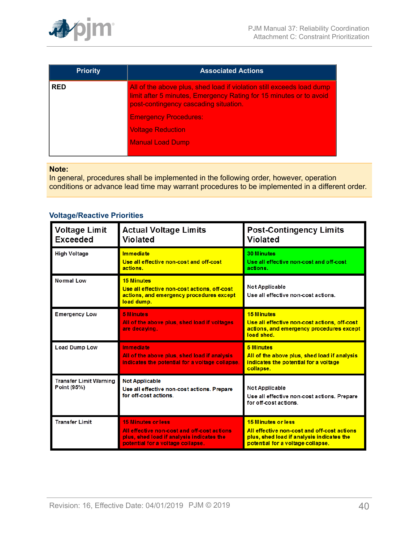

| <b>Priority</b> | <b>Associated Actions</b>                                                                                                                                                            |  |  |
|-----------------|--------------------------------------------------------------------------------------------------------------------------------------------------------------------------------------|--|--|
| <b>RED</b>      | All of the above plus, shed load if violation still exceeds load dump<br>limit after 5 minutes, Emergency Rating for 15 minutes or to avoid<br>post-contingency cascading situation. |  |  |
|                 | <b>Emergency Procedures:</b>                                                                                                                                                         |  |  |
|                 | <b>Voltage Reduction</b>                                                                                                                                                             |  |  |
|                 | <b>Manual Load Dump</b>                                                                                                                                                              |  |  |
|                 |                                                                                                                                                                                      |  |  |

#### **Note:**

In general, procedures shall be implemented in the following order, however, operation conditions or advance lead time may warrant procedures to be implemented in a different order.

## **Voltage/Reactive Priorities**

| <b>Voltage Limit</b><br><b>Exceeded</b>      | <b>Actual Voltage Limits</b><br><b>Violated</b>                                                                                                            | <b>Post-Contingency Limits</b><br><b>Violated</b>                                                                                                   |  |
|----------------------------------------------|------------------------------------------------------------------------------------------------------------------------------------------------------------|-----------------------------------------------------------------------------------------------------------------------------------------------------|--|
| High Voltage                                 | <b>Immediate</b><br>Use all effective non-cost and off-cost<br>actions.                                                                                    | <b>30 Minutes</b><br>Use all effective non-cost and off-cost<br>actions.                                                                            |  |
| Normal Low                                   | <b>15 Minutes</b><br>Use all effective non-cost actions, off-cost<br>actions, and emergency procedures except<br>load dump.                                | Not Applicable<br>Use all effective non-cost actions.                                                                                               |  |
| <b>Emergency Low</b>                         | <b>5 Minutes</b><br>All of the above plus, shed load if voltages<br>are decaying.                                                                          | <b>15 Minutes</b><br>Use all effective non-cost actions, off-cost<br>actions, and emergency procedures except<br>load shed.                         |  |
| <b>Load Dump Low</b>                         | Immediate<br>All of the above plus, shed load if analysis<br>indicates the potential for a voltage collapse.                                               | <b>5 Minutes</b><br>All of the above plus, shed load if analysis<br>indicates the potential for a voltage<br>collapse.                              |  |
| <b>Transfer Limit Warning</b><br>Point (95%) | <b>Not Applicable</b><br>Use all effective non-cost actions. Prepare<br>for off-cost actions.                                                              | Not Applicable<br>Use all effective non-cost actions. Prepare<br>for off-cost actions.                                                              |  |
| <b>Transfer Limit</b>                        | <b>15 Minutes or less</b><br>All effective non-cost and off-cost actions<br>plus, shed load if analysis indicates the<br>potential for a voltage collapse. | 15 Minutes or less<br>All effective non-cost and off-cost actions<br>plus, shed load if analysis indicates the<br>potential for a voltage collapse. |  |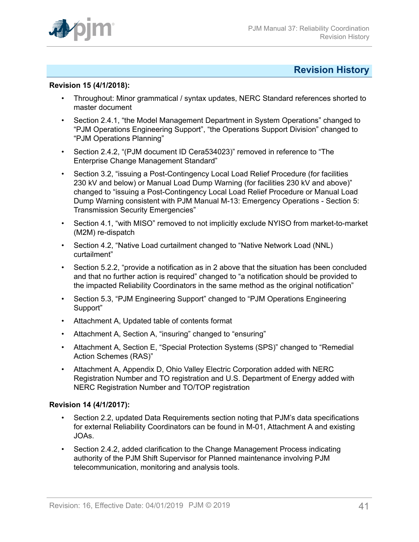

## <span id="page-40-0"></span>**Revision History**

### **Revision 15 (4/1/2018):**

- Throughout: Minor grammatical / syntax updates, NERC Standard references shorted to master document
- Section 2.4.1, "the Model Management Department in System Operations" changed to "PJM Operations Engineering Support", "the Operations Support Division" changed to "PJM Operations Planning"
- Section 2.4.2, "(PJM document ID Cera534023)" removed in reference to "The Enterprise Change Management Standard"
- Section 3.2, "issuing a Post-Contingency Local Load Relief Procedure (for facilities 230 kV and below) or Manual Load Dump Warning (for facilities 230 kV and above)" changed to "issuing a Post-Contingency Local Load Relief Procedure or Manual Load Dump Warning consistent with PJM Manual M-13: Emergency Operations - Section 5: Transmission Security Emergencies"
- Section 4.1, "with MISO" removed to not implicitly exclude NYISO from market-to-market (M2M) re-dispatch
- Section 4.2, "Native Load curtailment changed to "Native Network Load (NNL) curtailment"
- Section 5.2.2, "provide a notification as in 2 above that the situation has been concluded and that no further action is required" changed to "a notification should be provided to the impacted Reliability Coordinators in the same method as the original notification"
- Section 5.3, "PJM Engineering Support" changed to "PJM Operations Engineering Support"
- Attachment A, Updated table of contents format
- Attachment A, Section A, "insuring" changed to "ensuring"
- Attachment A, Section E, "Special Protection Systems (SPS)" changed to "Remedial Action Schemes (RAS)"
- Attachment A, Appendix D, Ohio Valley Electric Corporation added with NERC Registration Number and TO registration and U.S. Department of Energy added with NERC Registration Number and TO/TOP registration

## **Revision 14 (4/1/2017):**

- Section 2.2, updated Data Requirements section noting that PJM's data specifications for external Reliability Coordinators can be found in M-01, Attachment A and existing JOAs.
- Section 2.4.2, added clarification to the Change Management Process indicating authority of the PJM Shift Supervisor for Planned maintenance involving PJM telecommunication, monitoring and analysis tools.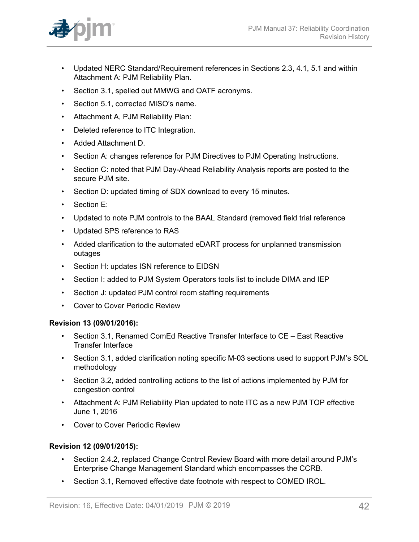

- Updated NERC Standard/Requirement references in Sections 2.3, 4.1, 5.1 and within Attachment A: PJM Reliability Plan.
- Section 3.1, spelled out MMWG and OATF acronyms.
- Section 5.1, corrected MISO's name.
- Attachment A, PJM Reliability Plan:
- Deleted reference to ITC Integration.
- Added Attachment D.
- Section A: changes reference for PJM Directives to PJM Operating Instructions.
- Section C: noted that PJM Day-Ahead Reliability Analysis reports are posted to the secure PJM site.
- Section D: updated timing of SDX download to every 15 minutes.
- Section E:
- Updated to note PJM controls to the BAAL Standard (removed field trial reference
- Updated SPS reference to RAS
- Added clarification to the automated eDART process for unplanned transmission outages
- Section H: updates ISN reference to EIDSN
- Section I: added to PJM System Operators tools list to include DIMA and IEP
- Section J: updated PJM control room staffing requirements
- Cover to Cover Periodic Review

#### **Revision 13 (09/01/2016):**

- Section 3.1, Renamed ComEd Reactive Transfer Interface to CE East Reactive Transfer Interface
- Section 3.1, added clarification noting specific M-03 sections used to support PJM's SOL methodology
- Section 3.2, added controlling actions to the list of actions implemented by PJM for congestion control
- Attachment A: PJM Reliability Plan updated to note ITC as a new PJM TOP effective June 1, 2016
- Cover to Cover Periodic Review

## **Revision 12 (09/01/2015):**

- Section 2.4.2, replaced Change Control Review Board with more detail around PJM's Enterprise Change Management Standard which encompasses the CCRB.
- Section 3.1, Removed effective date footnote with respect to COMED IROL.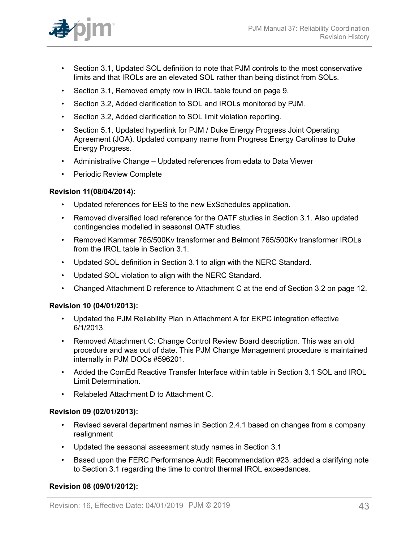

- Section 3.1, Updated SOL definition to note that PJM controls to the most conservative limits and that IROLs are an elevated SOL rather than being distinct from SOLs.
- Section 3.1, Removed empty row in IROL table found on page 9.
- Section 3.2, Added clarification to SOL and IROLs monitored by PJM.
- Section 3.2, Added clarification to SOL limit violation reporting.
- Section 5.1, Updated hyperlink for PJM / Duke Energy Progress Joint Operating Agreement (JOA). Updated company name from Progress Energy Carolinas to Duke Energy Progress.
- Administrative Change Updated references from edata to Data Viewer
- Periodic Review Complete

### **Revision 11(08/04/2014):**

- Updated references for EES to the new ExSchedules application.
- Removed diversified load reference for the OATF studies in Section 3.1. Also updated contingencies modelled in seasonal OATF studies.
- Removed Kammer 765/500Kv transformer and Belmont 765/500Kv transformer IROLs from the IROL table in Section 3.1.
- Updated SOL definition in Section 3.1 to align with the NERC Standard.
- Updated SOL violation to align with the NERC Standard.
- Changed Attachment D reference to Attachment C at the end of Section 3.2 on page 12.

#### **Revision 10 (04/01/2013):**

- Updated the PJM Reliability Plan in Attachment A for EKPC integration effective 6/1/2013.
- Removed Attachment C: Change Control Review Board description. This was an old procedure and was out of date. This PJM Change Management procedure is maintained internally in PJM DOCs #596201.
- Added the ComEd Reactive Transfer Interface within table in Section 3.1 SOL and IROL Limit Determination.
- Relabeled Attachment D to Attachment C.

#### **Revision 09 (02/01/2013):**

- Revised several department names in Section 2.4.1 based on changes from a company realignment
- Updated the seasonal assessment study names in Section 3.1
- Based upon the FERC Performance Audit Recommendation #23, added a clarifying note to Section 3.1 regarding the time to control thermal IROL exceedances.

#### **Revision 08 (09/01/2012):**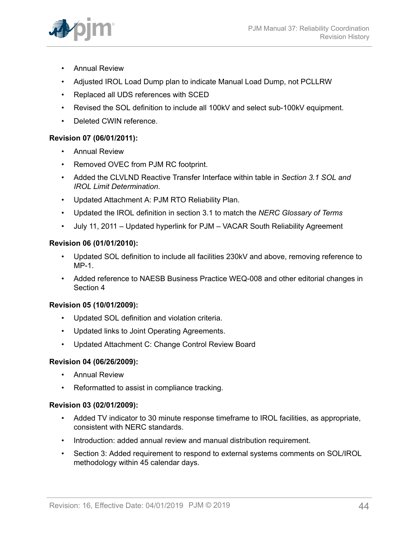

- Annual Review
- Adjusted IROL Load Dump plan to indicate Manual Load Dump, not PCLLRW
- Replaced all UDS references with SCED
- Revised the SOL definition to include all 100kV and select sub-100kV equipment.
- Deleted CWIN reference.

## **Revision 07 (06/01/2011):**

- Annual Review
- Removed OVEC from PJM RC footprint.
- Added the CLVLND Reactive Transfer Interface within table in *Section 3.1 SOL and IROL Limit Determination*.
- Updated Attachment A: PJM RTO Reliability Plan.
- Updated the IROL definition in section 3.1 to match the *NERC Glossary of Terms*
- July 11, 2011 Updated hyperlink for PJM VACAR South Reliability Agreement

## **Revision 06 (01/01/2010):**

- Updated SOL definition to include all facilities 230kV and above, removing reference to  $MP-1$
- Added reference to NAESB Business Practice WEQ-008 and other editorial changes in Section 4

## **Revision 05 (10/01/2009):**

- Updated SOL definition and violation criteria.
- Updated links to Joint Operating Agreements.
- Updated Attachment C: Change Control Review Board

## **Revision 04 (06/26/2009):**

- Annual Review
- Reformatted to assist in compliance tracking.

## **Revision 03 (02/01/2009):**

- Added TV indicator to 30 minute response timeframe to IROL facilities, as appropriate, consistent with NERC standards.
- Introduction: added annual review and manual distribution requirement.
- Section 3: Added requirement to respond to external systems comments on SOL/IROL methodology within 45 calendar days.